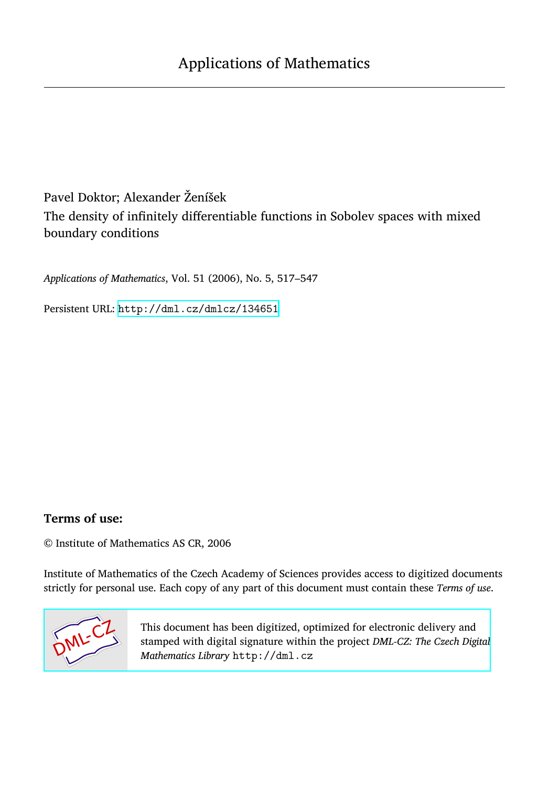Pavel Doktor; Alexander Ženíšek The density of infinitely differentiable functions in Sobolev spaces with mixed boundary conditions

*Applications of Mathematics*, Vol. 51 (2006), No. 5, 517–547

Persistent URL: <http://dml.cz/dmlcz/134651>

## **Terms of use:**

© Institute of Mathematics AS CR, 2006

Institute of Mathematics of the Czech Academy of Sciences provides access to digitized documents strictly for personal use. Each copy of any part of this document must contain these *Terms of use*.



[This document has been digitized, optimized for electronic delivery and](http://dml.cz) stamped with digital signature within the project *DML-CZ: The Czech Digital Mathematics Library* http://dml.cz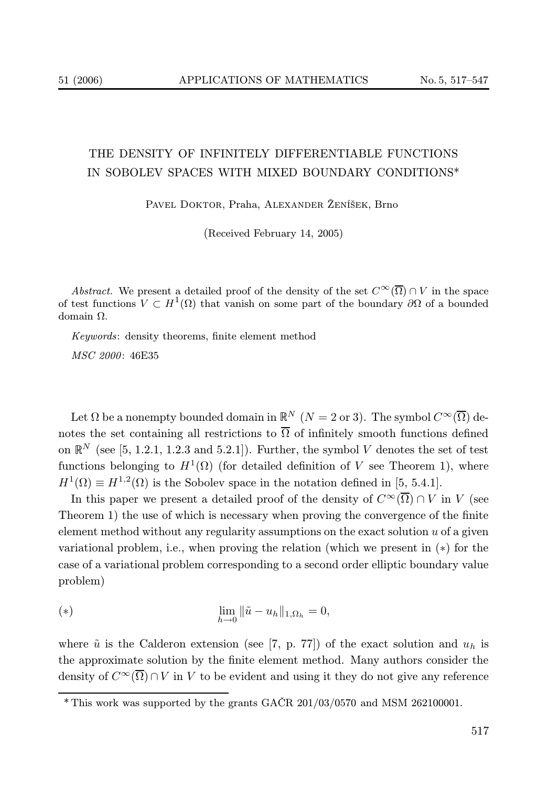## THE DENSITY OF INFINITELY DIFFERENTIABLE FUNCTIONS IN SOBOLEV SPACES WITH MIXED BOUNDARY CONDITIONS\*

Pavel Doktor, Praha, Alexander Ženíšek, Brno

(Received February 14, 2005)

Abstract. We present a detailed proof of the density of the set  $C^{\infty}(\overline{\Omega}) \cap V$  in the space of test functions  $V \subset H^1(\Omega)$  that vanish on some part of the boundary  $\partial\Omega$  of a bounded domain Ω.

Keywords: density theorems, finite element method

MSC 2000 : 46E35

Let  $\Omega$  be a nonempty bounded domain in  $\mathbb{R}^N$   $(N = 2 \text{ or } 3)$ . The symbol  $C^{\infty}(\overline{\Omega})$  denotes the set containing all restrictions to  $\overline{\Omega}$  of infinitely smooth functions defined on  $\mathbb{R}^N$  (see [5, 1.2.1, 1.2.3 and 5.2.1]). Further, the symbol V denotes the set of test functions belonging to  $H^1(\Omega)$  (for detailed definition of V see Theorem 1), where  $H^1(\Omega) \equiv H^{1,2}(\Omega)$  is the Sobolev space in the notation defined in [5, 5.4.1].

In this paper we present a detailed proof of the density of  $C^{\infty}(\overline{\Omega}) \cap V$  in V (see Theorem 1) the use of which is necessary when proving the convergence of the finite element method without any regularity assumptions on the exact solution u of a given variational problem, i.e., when proving the relation (which we present in (∗) for the case of a variational problem corresponding to a second order elliptic boundary value problem)

(\*) 
$$
\lim_{h \to 0} \|\tilde{u} - u_h\|_{1, \Omega_h} = 0,
$$

where  $\tilde{u}$  is the Calderon extension (see [7, p. 77]) of the exact solution and  $u_h$  is the approximate solution by the finite element method. Many authors consider the density of  $C^{\infty}(\overline{\Omega}) \cap V$  in V to be evident and using it they do not give any reference

<sup>\*</sup> This work was supported by the grants GAČR 201/03/0570 and MSM 262100001.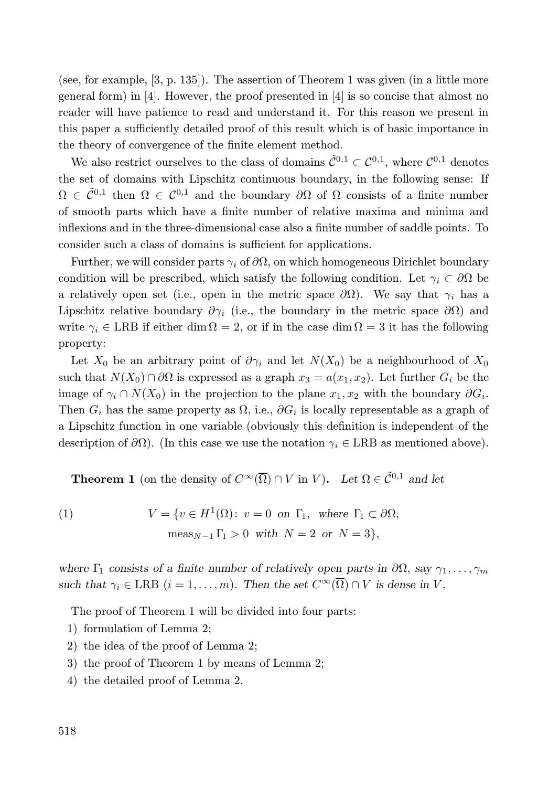(see, for example, [3, p. 135]). The assertion of Theorem 1 was given (in a little more general form) in [4]. However, the proof presented in [4] is so concise that almost no reader will have patience to read and understand it. For this reason we present in this paper a sufficiently detailed proof of this result which is of basic importance in the theory of convergence of the finite element method.

We also restrict ourselves to the class of domains  $\tilde{C}^{0,1} \subset C^{0,1}$ , where  $C^{0,1}$  denotes the set of domains with Lipschitz continuous boundary, in the following sense: If  $\Omega \in \tilde{C}^{0,1}$  then  $\Omega \in C^{0,1}$  and the boundary  $\partial\Omega$  of  $\Omega$  consists of a finite number of smooth parts which have a finite number of relative maxima and minima and inflexions and in the three-dimensional case also a finite number of saddle points. To consider such a class of domains is sufficient for applications.

Further, we will consider parts  $\gamma_i$  of  $\partial\Omega$ , on which homogeneous Dirichlet boundary condition will be prescribed, which satisfy the following condition. Let  $\gamma_i \subset \partial\Omega$  be a relatively open set (i.e., open in the metric space  $\partial\Omega$ ). We say that  $\gamma_i$  has a Lipschitz relative boundary  $\partial \gamma_i$  (i.e., the boundary in the metric space  $\partial \Omega$ ) and write  $\gamma_i \in \text{LRB}$  if either dim  $\Omega = 2$ , or if in the case dim  $\Omega = 3$  it has the following property:

Let  $X_0$  be an arbitrary point of  $\partial \gamma_i$  and let  $N(X_0)$  be a neighbourhood of  $X_0$ such that  $N(X_0) \cap \partial\Omega$  is expressed as a graph  $x_3 = a(x_1, x_2)$ . Let further  $G_i$  be the image of  $\gamma_i \cap N(X_0)$  in the projection to the plane  $x_1, x_2$  with the boundary  $\partial G_i$ . Then  $G_i$  has the same property as  $\Omega$ , i.e.,  $\partial G_i$  is locally representable as a graph of a Lipschitz function in one variable (obviously this definition is independent of the description of  $\partial\Omega$ ). (In this case we use the notation  $\gamma_i \in \text{LRB}$  as mentioned above).

**Theorem 1** (on the density of  $C^{\infty}(\overline{\Omega}) \cap V$  in V). Let  $\Omega \in C^{0,1}$  and let

(1) 
$$
V = \{v \in H^1(\Omega): v = 0 \text{ on } \Gamma_1, \text{ where } \Gamma_1 \subset \partial\Omega, \\ \text{meas}_{N-1} \Gamma_1 > 0 \text{ with } N = 2 \text{ or } N = 3\},\
$$

where  $\Gamma_1$  consists of a finite number of relatively open parts in  $\partial\Omega$ , say  $\gamma_1, \ldots, \gamma_m$ such that  $\gamma_i \in \text{LRB}$   $(i = 1, \ldots, m)$ . Then the set  $C^{\infty}(\overline{\Omega}) \cap V$  is dense in V.

The proof of Theorem 1 will be divided into four parts:

- 1) formulation of Lemma 2;
- 2) the idea of the proof of Lemma 2;
- 3) the proof of Theorem 1 by means of Lemma 2;
- 4) the detailed proof of Lemma 2.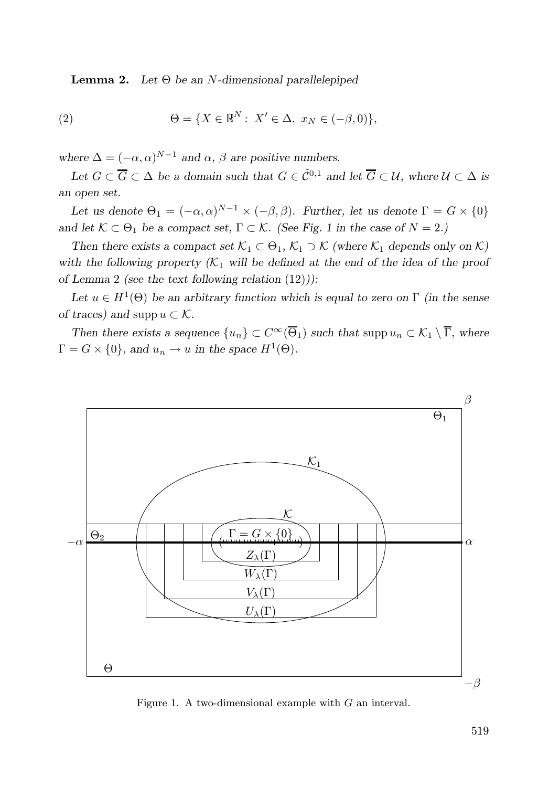**Lemma 2.** Let  $\Theta$  be an N-dimensional parallelepiped

(2) 
$$
\Theta = \{ X \in \mathbb{R}^N : X' \in \Delta, x_N \in (-\beta, 0) \},
$$

where  $\Delta = (-\alpha, \alpha)^{N-1}$  and  $\alpha, \beta$  are positive numbers.

Let  $G \subset \overline{G} \subset \Delta$  be a domain such that  $G \in \tilde{C}^{0,1}$  and let  $\overline{G} \subset \mathcal{U}$ , where  $\mathcal{U} \subset \Delta$  is an open set.

Let us denote  $\Theta_1 = (-\alpha, \alpha)^{N-1} \times (-\beta, \beta)$ . Further, let us denote  $\Gamma = G \times \{0\}$ and let  $\mathcal{K} \subset \Theta_1$  be a compact set,  $\Gamma \subset \mathcal{K}$ . (See Fig. 1 in the case of  $N = 2$ .)

Then there exists a compact set  $\mathcal{K}_1 \subset \Theta_1$ ,  $\mathcal{K}_1 \supset \mathcal{K}$  (where  $\mathcal{K}_1$  depends only on  $\mathcal{K}$ ) with the following property  $(K_1$  will be defined at the end of the idea of the proof of Lemma 2 (see the text following relation (12))):

Let  $u \in H^1(\Theta)$  be an arbitrary function which is equal to zero on  $\Gamma$  (in the sense of traces) and supp  $u \subset \mathcal{K}$ .

Then there exists a sequence  $\{u_n\} \subset C^\infty(\overline{\Theta}_1)$  such that supp  $u_n \subset \mathcal{K}_1 \setminus \overline{\Gamma}$ , where  $\Gamma = G \times \{0\}$ , and  $u_n \to u$  in the space  $H^1(\Theta)$ .



Figure 1. A two-dimensional example with G an interval.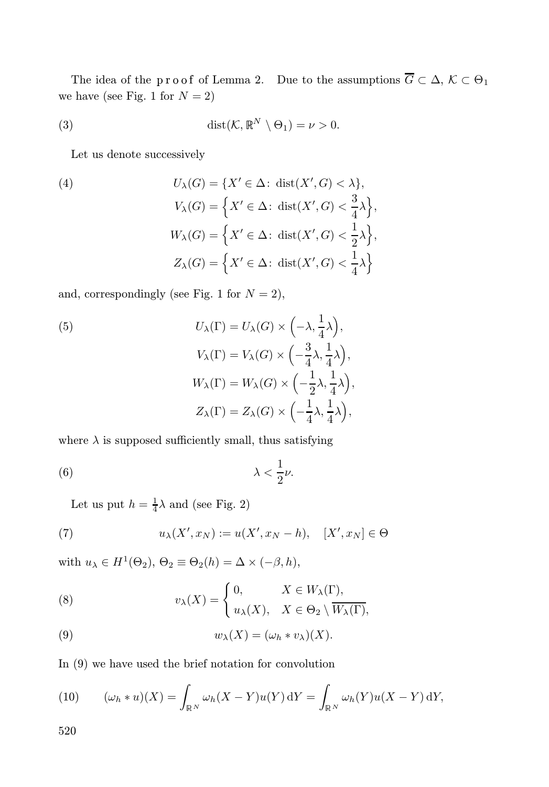The idea of the proof of Lemma 2. Due to the assumptions  $G \subset \Delta$ ,  $K \subset \Theta_1$ we have (see Fig. 1 for  $N = 2$ )

(3) 
$$
\operatorname{dist}(\mathcal{K}, \mathbb{R}^N \setminus \Theta_1) = \nu > 0.
$$

Let us denote successively

(4)  
\n
$$
U_{\lambda}(G) = \{X' \in \Delta : \text{ dist}(X', G) < \lambda\},
$$
\n
$$
V_{\lambda}(G) = \left\{X' \in \Delta : \text{ dist}(X', G) < \frac{3}{4}\lambda\right\},
$$
\n
$$
W_{\lambda}(G) = \left\{X' \in \Delta : \text{ dist}(X', G) < \frac{1}{2}\lambda\right\},
$$
\n
$$
Z_{\lambda}(G) = \left\{X' \in \Delta : \text{ dist}(X', G) < \frac{1}{4}\lambda\right\}
$$

and, correspondingly (see Fig. 1 for  $N = 2$ ),

(5)  
\n
$$
U_{\lambda}(\Gamma) = U_{\lambda}(G) \times \left(-\lambda, \frac{1}{4}\lambda\right),
$$
\n
$$
V_{\lambda}(\Gamma) = V_{\lambda}(G) \times \left(-\frac{3}{4}\lambda, \frac{1}{4}\lambda\right),
$$
\n
$$
W_{\lambda}(\Gamma) = W_{\lambda}(G) \times \left(-\frac{1}{2}\lambda, \frac{1}{4}\lambda\right),
$$
\n
$$
Z_{\lambda}(\Gamma) = Z_{\lambda}(G) \times \left(-\frac{1}{4}\lambda, \frac{1}{4}\lambda\right),
$$

where  $\lambda$  is supposed sufficiently small, thus satisfying

$$
\lambda < \frac{1}{2}\nu.
$$

Let us put  $h = \frac{1}{4}\lambda$  and (see Fig. 2)

(7) 
$$
u_{\lambda}(X', x_N) := u(X', x_N - h), \quad [X', x_N] \in \Theta
$$

with  $u_{\lambda} \in H^1(\Theta_2)$ ,  $\Theta_2 \equiv \Theta_2(h) = \Delta \times (-\beta, h)$ ,

(8) 
$$
v_{\lambda}(X) = \begin{cases} 0, & X \in W_{\lambda}(\Gamma), \\ u_{\lambda}(X), & X \in \Theta_2 \setminus \overline{W_{\lambda}(\Gamma)}, \end{cases}
$$

(9) 
$$
w_{\lambda}(X) = (\omega_h * v_{\lambda})(X).
$$

In (9) we have used the brief notation for convolution

(10) 
$$
(\omega_h * u)(X) = \int_{\mathbb{R}^N} \omega_h (X - Y) u(Y) \,dY = \int_{\mathbb{R}^N} \omega_h (Y) u(X - Y) \,dY,
$$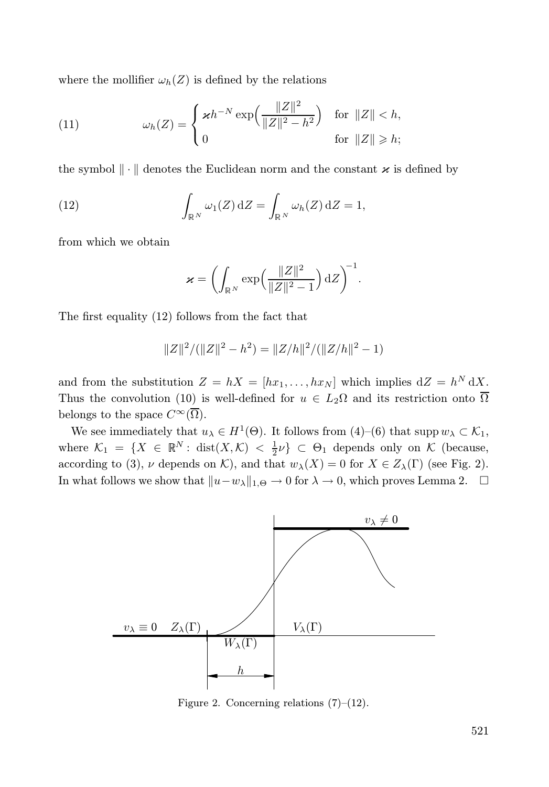where the mollifier  $\omega_h(Z)$  is defined by the relations

(11) 
$$
\omega_h(Z) = \begin{cases} \varkappa h^{-N} \exp\left(\frac{\|Z\|^2}{\|Z\|^2 - h^2}\right) & \text{for } \|Z\| < h, \\ 0 & \text{for } \|Z\| \ge h; \end{cases}
$$

the symbol  $\|\cdot\|$  denotes the Euclidean norm and the constant  $\varkappa$  is defined by

(12) 
$$
\int_{\mathbb{R}^N} \omega_1(Z) \, \mathrm{d}Z = \int_{\mathbb{R}^N} \omega_h(Z) \, \mathrm{d}Z = 1,
$$

from which we obtain

$$
\varkappa = \left( \int_{\mathbb{R}^N} \exp \left( \frac{\|Z\|^2}{\|Z\|^2 - 1} \right) \mathrm{d} Z \right)^{-1}.
$$

The first equality (12) follows from the fact that

$$
||Z||^2/(||Z||^2 - h^2) = ||Z/h||^2/(||Z/h||^2 - 1)
$$

and from the substitution  $Z = hX = [hx_1, \ldots, hx_N]$  which implies  $dZ = h^N dX$ . Thus the convolution (10) is well-defined for  $u \in L_2\Omega$  and its restriction onto  $\overline{\Omega}$ belongs to the space  $C^{\infty}(\overline{\Omega})$ .

We see immediately that  $u_{\lambda} \in H^1(\Theta)$ . It follows from  $(4)-(6)$  that supp  $w_{\lambda} \subset \mathcal{K}_1$ , where  $\mathcal{K}_1 = \{X \in \mathbb{R}^N : \text{dist}(X, \mathcal{K}) < \frac{1}{2}\nu\} \subset \Theta_1$  depends only on  $\mathcal{K}$  (because, according to (3),  $\nu$  depends on K), and that  $w_\lambda(X) = 0$  for  $X \in Z_\lambda(\Gamma)$  (see Fig. 2). In what follows we show that  $||u-w_\lambda||_{1,\Theta} \to 0$  for  $\lambda \to 0$ , which proves Lemma 2.  $\square$ 



Figure 2. Concerning relations (7)–(12).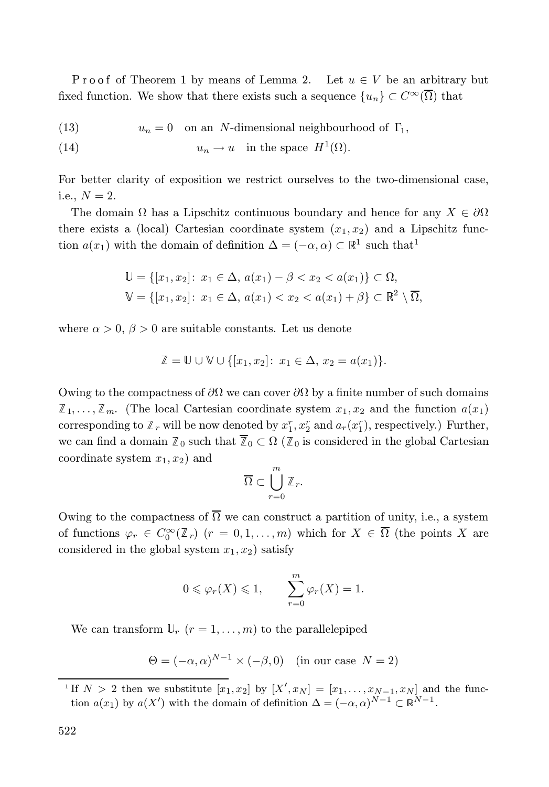Proof of Theorem 1 by means of Lemma 2. Let  $u \in V$  be an arbitrary but fixed function. We show that there exists such a sequence  $\{u_n\} \subset C^{\infty}(\overline{\Omega})$  that

(13) 
$$
u_n = 0
$$
 on an N-dimensional neighbourhood of  $\Gamma_1$ ,

(14) 
$$
u_n \to u
$$
 in the space  $H^1(\Omega)$ .

For better clarity of exposition we restrict ourselves to the two-dimensional case, i.e.,  $N = 2$ .

The domain  $\Omega$  has a Lipschitz continuous boundary and hence for any  $X \in \partial \Omega$ there exists a (local) Cartesian coordinate system  $(x_1, x_2)$  and a Lipschitz function  $a(x_1)$  with the domain of definition  $\Delta = (-\alpha, \alpha) \subset \mathbb{R}^1$  such that<sup>1</sup>

$$
\mathbb{U} = \{ [x_1, x_2] : x_1 \in \Delta, a(x_1) - \beta < x_2 < a(x_1) \} \subset \Omega,
$$
\n
$$
\mathbb{V} = \{ [x_1, x_2] : x_1 \in \Delta, a(x_1) < x_2 < a(x_1) + \beta \} \subset \mathbb{R}^2 \setminus \overline{\Omega},
$$

where  $\alpha > 0$ ,  $\beta > 0$  are suitable constants. Let us denote

$$
\mathbb{Z} = \mathbb{U} \cup \mathbb{V} \cup \{ [x_1, x_2] \colon x_1 \in \Delta, x_2 = a(x_1) \}.
$$

Owing to the compactness of  $\partial\Omega$  we can cover  $\partial\Omega$  by a finite number of such domains  $\mathbb{Z}_1, \ldots, \mathbb{Z}_m$ . (The local Cartesian coordinate system  $x_1, x_2$  and the function  $a(x_1)$ corresponding to  $\mathbb{Z}_r$  will be now denoted by  $x_1^r, x_2^r$  and  $a_r(x_1^r)$ , respectively.) Further, we can find a domain  $\mathbb{Z}_0$  such that  $\mathbb{Z}_0 \subset \Omega$  ( $\mathbb{Z}_0$  is considered in the global Cartesian coordinate system  $x_1, x_2$  and

$$
\overline{\Omega}\subset \bigcup_{r=0}^m \mathbb{Z}_r.
$$

Owing to the compactness of  $\overline{\Omega}$  we can construct a partition of unity, i.e., a system of functions  $\varphi_r \in C_0^{\infty}(\mathbb{Z}_r)$   $(r = 0, 1, ..., m)$  which for  $X \in \Omega$  (the points X are considered in the global system  $x_1, x_2$ ) satisfy

$$
0 \leq \varphi_r(X) \leq 1, \qquad \sum_{r=0}^m \varphi_r(X) = 1.
$$

We can transform  $\mathbb{U}_r$   $(r = 1, \ldots, m)$  to the parallelepiped

 $\Theta = (-\alpha, \alpha)^{N-1} \times (-\beta, 0)$  (in our case  $N = 2$ )

<sup>&</sup>lt;sup>1</sup> If  $N > 2$  then we substitute  $[x_1, x_2]$  by  $[X', x_N] = [x_1, \ldots, x_{N-1}, x_N]$  and the function  $a(x_1)$  by  $a(X')$  with the domain of definition  $\Delta = (-\alpha, \alpha)^{N-1} \subset \mathbb{R}^{N-1}$ .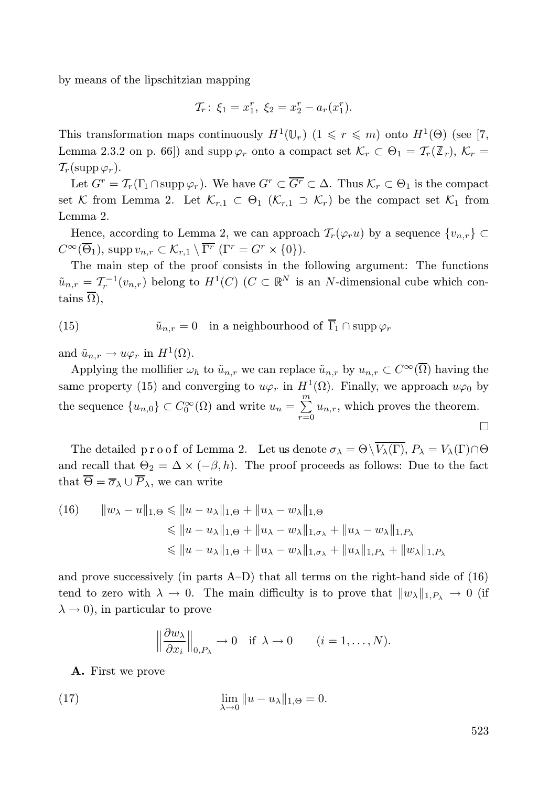by means of the lipschitzian mapping

$$
\mathcal{T}_r: \xi_1 = x_1^r, \ \xi_2 = x_2^r - a_r(x_1^r).
$$

This transformation maps continuously  $H^1(\mathbb{U}_r)$   $(1 \leq r \leq m)$  onto  $H^1(\Theta)$  (see [7, Lemma 2.3.2 on p. 66]) and supp  $\varphi_r$  onto a compact set  $\mathcal{K}_r \subset \Theta_1 = \mathcal{T}_r(\mathbb{Z}_r)$ ,  $\mathcal{K}_r =$  $\mathcal{T}_r(\text{supp }\varphi_r).$ 

Let  $G^r = \mathcal{T}_r(\Gamma_1 \cap \text{supp }\varphi_r)$ . We have  $G^r \subset \overline{G^r} \subset \Delta$ . Thus  $\mathcal{K}_r \subset \Theta_1$  is the compact set K from Lemma 2. Let  $\mathcal{K}_{r,1} \subset \Theta_1$  ( $\mathcal{K}_{r,1} \supset \mathcal{K}_r$ ) be the compact set  $\mathcal{K}_1$  from Lemma 2.

Hence, according to Lemma 2, we can approach  $\mathcal{T}_r(\varphi_r u)$  by a sequence  $\{v_{n,r}\}\subset$  $C^{\infty}(\overline{\Theta}_1)$ , supp  $v_{n,r} \subset \mathcal{K}_{r,1} \setminus \overline{\Gamma^r}$   $(\Gamma^r = G^r \times \{0\}).$ 

The main step of the proof consists in the following argument: The functions  $\tilde{u}_{n,r} = \mathcal{T}_r^{-1}(v_{n,r})$  belong to  $H^1(C)$   $(C \subset \mathbb{R}^N)$  is an N-dimensional cube which contains  $\overline{\Omega}$ ),

(15) 
$$
\tilde{u}_{n,r} = 0 \quad \text{in a neighbourhood of } \overline{\Gamma}_1 \cap \text{supp }\varphi_r
$$

and  $\tilde{u}_{n,r} \to u\varphi_r$  in  $H^1(\Omega)$ .

Applying the mollifier  $\omega_h$  to  $\tilde{u}_{n,r}$  we can replace  $\tilde{u}_{n,r}$  by  $u_{n,r} \subset C^{\infty}(\overline{\Omega})$  having the same property (15) and converging to  $u\varphi_r$  in  $H^1(\Omega)$ . Finally, we approach  $u\varphi_0$  by the sequence  ${u_{n,0}} \subset C_0^{\infty}(\Omega)$  and write  $u_n = \sum_{n=0}^{\infty}$  $\sum_{r=0} u_{n,r}$ , which proves the theorem.  $\Box$ 

The detailed  $p r o o f$  of Lemma 2. Let us denote  $\sigma_{\lambda} = \Theta \setminus V_{\lambda}(\Gamma), P_{\lambda} = V_{\lambda}(\Gamma) \cap \Theta$ and recall that  $\Theta_2 = \Delta \times (-\beta, h)$ . The proof proceeds as follows: Due to the fact that  $\overline{\Theta} = \overline{\sigma}_{\lambda} \cup \overline{P}_{\lambda}$ , we can write

(16) 
$$
||w_{\lambda} - u||_{1,\Theta} \le ||u - u_{\lambda}||_{1,\Theta} + ||u_{\lambda} - w_{\lambda}||_{1,\Theta}
$$
  
\n
$$
\le ||u - u_{\lambda}||_{1,\Theta} + ||u_{\lambda} - w_{\lambda}||_{1,\sigma_{\lambda}} + ||u_{\lambda} - w_{\lambda}||_{1,P_{\lambda}}
$$
  
\n
$$
\le ||u - u_{\lambda}||_{1,\Theta} + ||u_{\lambda} - w_{\lambda}||_{1,\sigma_{\lambda}} + ||u_{\lambda}||_{1,P_{\lambda}} + ||w_{\lambda}||_{1,P_{\lambda}}
$$

and prove successively (in parts A–D) that all terms on the right-hand side of (16) tend to zero with  $\lambda \to 0$ . The main difficulty is to prove that  $||w_\lambda||_{1,P_\lambda} \to 0$  (if  $\lambda \rightarrow 0$ , in particular to prove

$$
\left\|\frac{\partial w_\lambda}{\partial x_i}\right\|_{0,P_\lambda} \to 0 \quad \text{if } \lambda \to 0 \qquad (i=1,\ldots,N).
$$

A. First we prove

(17) 
$$
\lim_{\lambda \to 0} ||u - u_{\lambda}||_{1,\Theta} = 0.
$$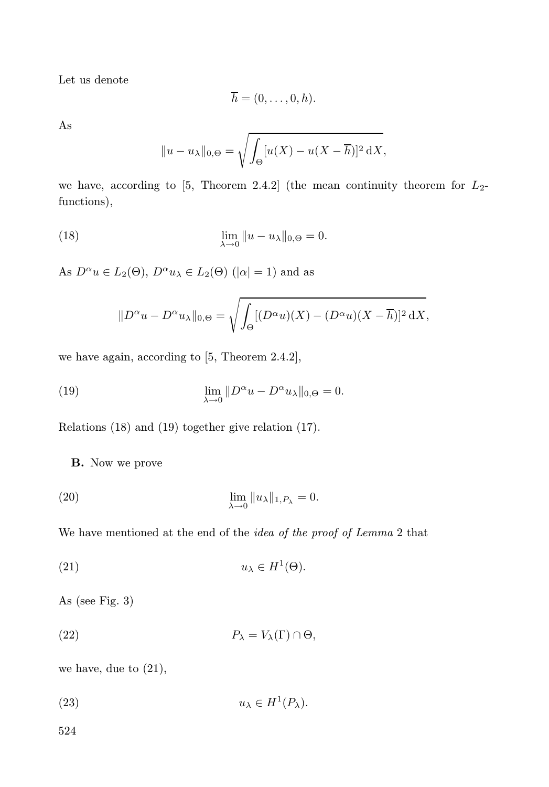Let us denote

$$
\overline{h}=(0,\ldots,0,h).
$$

As

$$
||u - u_{\lambda}||_{0,\Theta} = \sqrt{\int_{\Theta} [u(X) - u(X - \overline{h})]^2 dX},
$$

we have, according to [5, Theorem 2.4.2] (the mean continuity theorem for  $L_2$ functions),

(18) 
$$
\lim_{\lambda \to 0} ||u - u_{\lambda}||_{0,\Theta} = 0.
$$

As  $D^{\alpha}u \in L_2(\Theta)$ ,  $D^{\alpha}u_{\lambda} \in L_2(\Theta)$  ( $|\alpha|=1$ ) and as

$$
||D^{\alpha}u - D^{\alpha}u_{\lambda}||_{0,\Theta} = \sqrt{\int_{\Theta} [(D^{\alpha}u)(X) - (D^{\alpha}u)(X - \overline{h})]^2 dX},
$$

we have again, according to [5, Theorem 2.4.2],

(19) 
$$
\lim_{\lambda \to 0} ||D^{\alpha}u - D^{\alpha}u_{\lambda}||_{0,\Theta} = 0.
$$

Relations (18) and (19) together give relation (17).

B. Now we prove

(20) 
$$
\lim_{\lambda \to 0} ||u_{\lambda}||_{1,P_{\lambda}} = 0.
$$

We have mentioned at the end of the *idea of the proof of Lemma* 2 that

(21) 
$$
u_{\lambda} \in H^{1}(\Theta).
$$

As (see Fig. 3)

(22) 
$$
P_{\lambda} = V_{\lambda}(\Gamma) \cap \Theta,
$$

we have, due to (21),

(23) 
$$
u_{\lambda} \in H^{1}(P_{\lambda}).
$$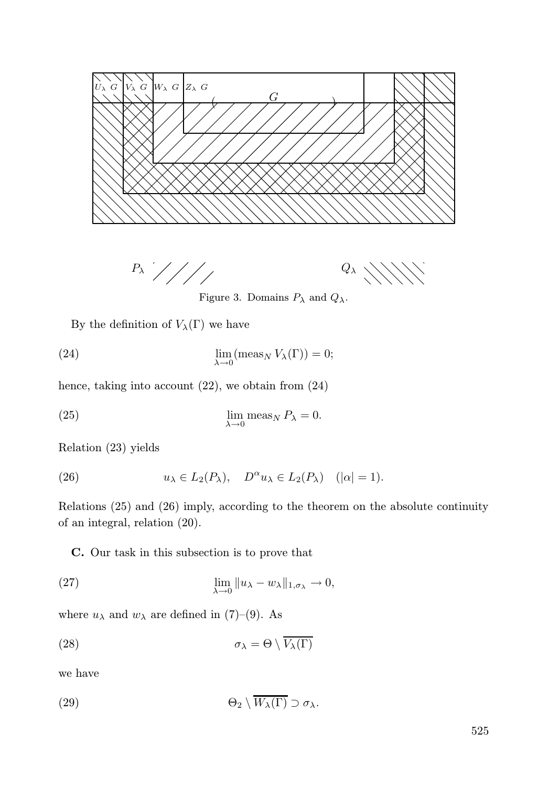





Figure 3. Domains  $P_{\lambda}$  and  $Q_{\lambda}$ .

By the definition of  $V_\lambda(\Gamma)$  we have

(24) 
$$
\lim_{\lambda \to 0} (\text{meas}_N V_{\lambda}(\Gamma)) = 0;
$$

hence, taking into account (22), we obtain from (24)

(25) 
$$
\lim_{\lambda \to 0} \text{meas}_N P_{\lambda} = 0.
$$

Relation (23) yields

(26) 
$$
u_{\lambda} \in L_2(P_{\lambda}), \quad D^{\alpha} u_{\lambda} \in L_2(P_{\lambda}) \quad (|\alpha| = 1).
$$

Relations (25) and (26) imply, according to the theorem on the absolute continuity of an integral, relation (20).

C. Our task in this subsection is to prove that

(27) 
$$
\lim_{\lambda \to 0} \|u_{\lambda} - w_{\lambda}\|_{1, \sigma_{\lambda}} \to 0,
$$

where  $u_{\lambda}$  and  $w_{\lambda}$  are defined in (7)–(9). As

(28) 
$$
\sigma_{\lambda} = \Theta \setminus \overline{V_{\lambda}(\Gamma)}
$$

we have

(29) 
$$
\Theta_2 \setminus \overline{W_{\lambda}(\Gamma)} \supset \sigma_{\lambda}.
$$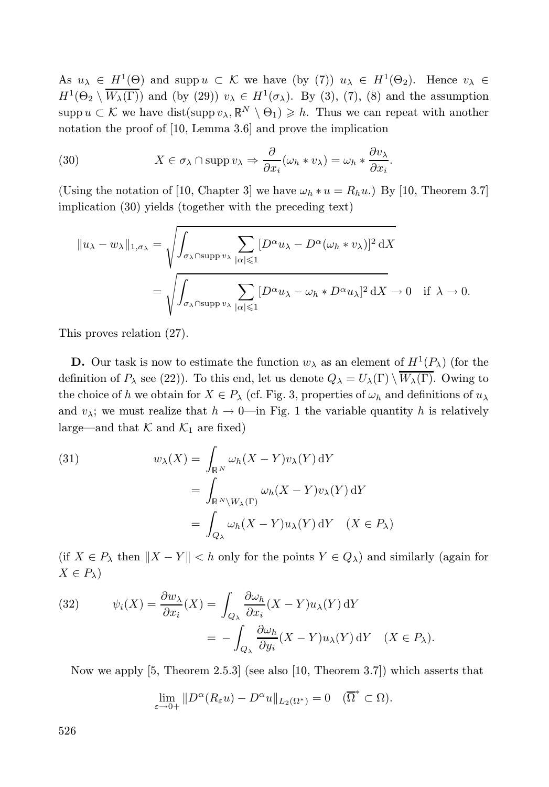As  $u_{\lambda} \in H^1(\Theta)$  and supp  $u \subset \mathcal{K}$  we have (by (7))  $u_{\lambda} \in H^1(\Theta_2)$ . Hence  $v_{\lambda} \in$  $H^1(\Theta_2 \setminus W_\lambda(\Gamma))$  and (by (29))  $v_\lambda \in H^1(\sigma_\lambda)$ . By (3), (7), (8) and the assumption supp  $u \subset \mathcal{K}$  we have dist(supp  $v_{\lambda}, \mathbb{R}^N \setminus \Theta_1 \geq h$ . Thus we can repeat with another notation the proof of [10, Lemma 3.6] and prove the implication

(30) 
$$
X \in \sigma_{\lambda} \cap \operatorname{supp} v_{\lambda} \Rightarrow \frac{\partial}{\partial x_i} (\omega_h * v_{\lambda}) = \omega_h * \frac{\partial v_{\lambda}}{\partial x_i}.
$$

(Using the notation of [10, Chapter 3] we have  $\omega_h * u = R_h u$ .) By [10, Theorem 3.7] implication (30) yields (together with the preceding text)

$$
||u_{\lambda} - w_{\lambda}||_{1, \sigma_{\lambda}} = \sqrt{\int_{\sigma_{\lambda} \cap \text{supp } v_{\lambda}} \sum_{|\alpha| \leqslant 1} [D^{\alpha} u_{\lambda} - D^{\alpha}(\omega_h * v_{\lambda})]^2 dX}
$$
  
= 
$$
\sqrt{\int_{\sigma_{\lambda} \cap \text{supp } v_{\lambda}} \sum_{|\alpha| \leqslant 1} [D^{\alpha} u_{\lambda} - \omega_h * D^{\alpha} u_{\lambda}]^2 dX} \to 0 \text{ if } \lambda \to 0.
$$

This proves relation (27).

**D.** Our task is now to estimate the function  $w_\lambda$  as an element of  $H^1(P_\lambda)$  (for the definition of  $P_\lambda$  see (22)). To this end, let us denote  $Q_\lambda = U_\lambda(\Gamma) \setminus \overline{W_\lambda(\Gamma)}$ . Owing to the choice of h we obtain for  $X \in P_\lambda$  (cf. Fig. 3, properties of  $\omega_h$  and definitions of  $u_\lambda$ and  $v_{\lambda}$ ; we must realize that  $h \to 0$ —in Fig. 1 the variable quantity h is relatively large—and that  $K$  and  $K_1$  are fixed)

(31)  

$$
w_{\lambda}(X) = \int_{\mathbb{R}^N} \omega_h(X - Y) v_{\lambda}(Y) dY
$$

$$
= \int_{\mathbb{R}^N \setminus W_{\lambda}(\Gamma)} \omega_h(X - Y) v_{\lambda}(Y) dY
$$

$$
= \int_{Q_{\lambda}} \omega_h(X - Y) u_{\lambda}(Y) dY \quad (X \in P_{\lambda})
$$

(if  $X \in P_\lambda$  then  $||X - Y|| < h$  only for the points  $Y \in Q_\lambda$ ) and similarly (again for  $X \in P_{\lambda}$ 

(32) 
$$
\psi_i(X) = \frac{\partial w_{\lambda}}{\partial x_i}(X) = \int_{Q_{\lambda}} \frac{\partial \omega_h}{\partial x_i}(X - Y)u_{\lambda}(Y) dY
$$

$$
= -\int_{Q_{\lambda}} \frac{\partial \omega_h}{\partial y_i}(X - Y)u_{\lambda}(Y) dY \quad (X \in P_{\lambda}).
$$

Now we apply [5, Theorem 2.5.3] (see also [10, Theorem 3.7]) which asserts that

$$
\lim_{\varepsilon \to 0+} \|D^{\alpha}(R_{\varepsilon}u) - D^{\alpha}u\|_{L_2(\Omega^*)} = 0 \quad (\overline{\Omega}^* \subset \Omega).
$$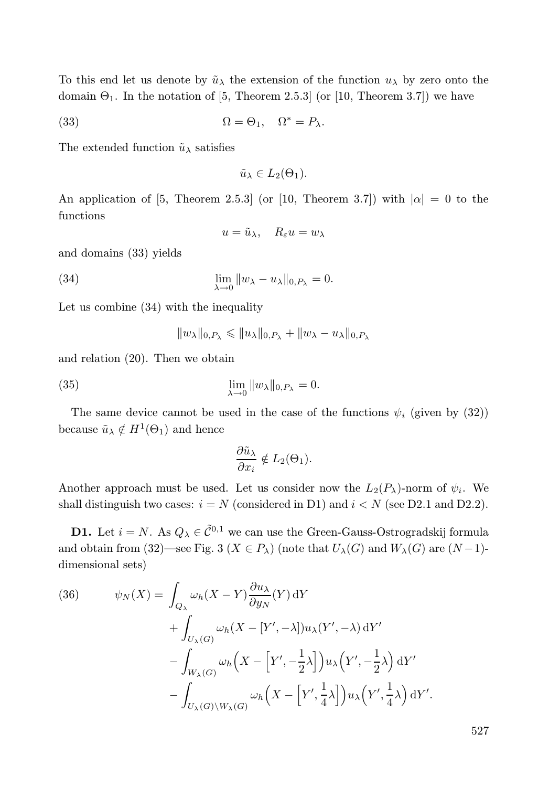To this end let us denote by  $\tilde{u}_{\lambda}$  the extension of the function  $u_{\lambda}$  by zero onto the domain  $\Theta_1$ . In the notation of [5, Theorem 2.5.3] (or [10, Theorem 3.7]) we have

(33) 
$$
\Omega = \Theta_1, \quad \Omega^* = P_\lambda.
$$

The extended function  $\tilde{u}_{\lambda}$  satisfies

$$
\tilde{u}_{\lambda} \in L_2(\Theta_1).
$$

An application of [5, Theorem 2.5.3] (or [10, Theorem 3.7]) with  $|\alpha| = 0$  to the functions

$$
u = \tilde{u}_{\lambda}, \quad R_{\varepsilon}u = w_{\lambda}
$$

and domains (33) yields

(34) 
$$
\lim_{\lambda \to 0} ||w_{\lambda} - u_{\lambda}||_{0, P_{\lambda}} = 0.
$$

Let us combine (34) with the inequality

$$
||w_\lambda||_{0,P_\lambda} \leq ||u_\lambda||_{0,P_\lambda} + ||w_\lambda - u_\lambda||_{0,P_\lambda}
$$

and relation (20). Then we obtain

(35) 
$$
\lim_{\lambda \to 0} ||w_{\lambda}||_{0,P_{\lambda}} = 0.
$$

The same device cannot be used in the case of the functions  $\psi_i$  (given by (32)) because  $\tilde{u}_{\lambda} \notin H^1(\Theta_1)$  and hence

$$
\frac{\partial \tilde{u}_{\lambda}}{\partial x_i} \notin L_2(\Theta_1).
$$

Another approach must be used. Let us consider now the  $L_2(P_\lambda)$ -norm of  $\psi_i$ . We shall distinguish two cases:  $i = N$  (considered in D1) and  $i < N$  (see D2.1 and D2.2).

**D1.** Let  $i = N$ . As  $Q_{\lambda} \in \tilde{\mathcal{C}}^{0,1}$  we can use the Green-Gauss-Ostrogradskij formula and obtain from (32)—see Fig. 3 ( $X \in P_\lambda$ ) (note that  $U_\lambda(G)$  and  $W_\lambda(G)$  are  $(N-1)$ dimensional sets)

(36) 
$$
\psi_N(X) = \int_{Q_{\lambda}} \omega_h(X - Y) \frac{\partial u_{\lambda}}{\partial y_N}(Y) dY + \int_{U_{\lambda}(G)} \omega_h(X - [Y', -\lambda]) u_{\lambda}(Y', -\lambda) dY' - \int_{W_{\lambda}(G)} \omega_h(X - [Y', -\frac{1}{2}\lambda]) u_{\lambda}(Y', -\frac{1}{2}\lambda) dY' - \int_{U_{\lambda}(G) \backslash W_{\lambda}(G)} \omega_h(X - [Y', \frac{1}{4}\lambda]) u_{\lambda}(Y', \frac{1}{4}\lambda) dY'.
$$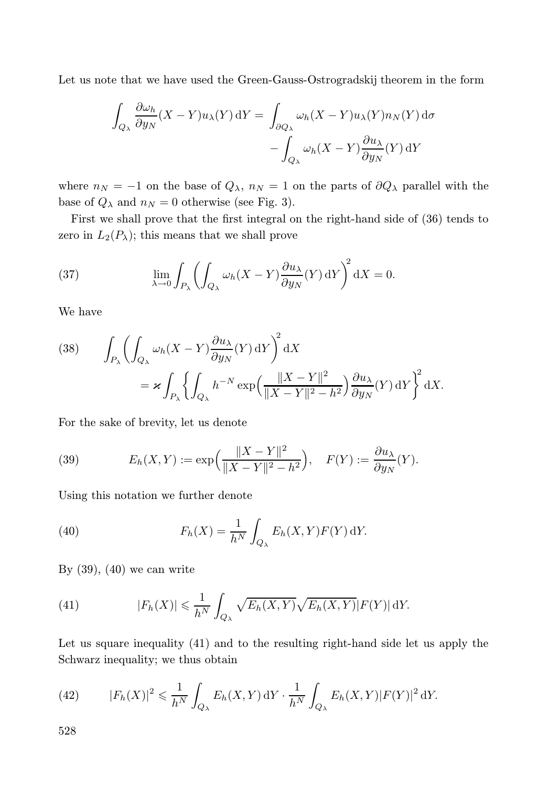Let us note that we have used the Green-Gauss-Ostrogradskij theorem in the form

$$
\int_{Q_{\lambda}} \frac{\partial \omega_h}{\partial y_N} (X - Y) u_{\lambda}(Y) dY = \int_{\partial Q_{\lambda}} \omega_h (X - Y) u_{\lambda}(Y) n_N(Y) d\sigma \n- \int_{Q_{\lambda}} \omega_h (X - Y) \frac{\partial u_{\lambda}}{\partial y_N}(Y) dY
$$

where  $n_N = -1$  on the base of  $Q_\lambda$ ,  $n_N = 1$  on the parts of  $\partial Q_\lambda$  parallel with the base of  $Q_{\lambda}$  and  $n_N = 0$  otherwise (see Fig. 3).

First we shall prove that the first integral on the right-hand side of (36) tends to zero in  $L_2(P_\lambda)$ ; this means that we shall prove

(37) 
$$
\lim_{\lambda \to 0} \int_{P_{\lambda}} \left( \int_{Q_{\lambda}} \omega_h (X - Y) \frac{\partial u_{\lambda}}{\partial y_N} (Y) dY \right)^2 dX = 0.
$$

We have

(38) 
$$
\int_{P_{\lambda}} \left( \int_{Q_{\lambda}} \omega_h(X - Y) \frac{\partial u_{\lambda}}{\partial y_N}(Y) dY \right)^2 dX
$$

$$
= \varkappa \int_{P_{\lambda}} \left\{ \int_{Q_{\lambda}} h^{-N} \exp \left( \frac{\|X - Y\|^2}{\|X - Y\|^2 - h^2} \right) \frac{\partial u_{\lambda}}{\partial y_N}(Y) dY \right\}^2 dX.
$$

For the sake of brevity, let us denote

(39) 
$$
E_h(X,Y) := \exp\left(\frac{\|X-Y\|^2}{\|X-Y\|^2 - h^2}\right), \quad F(Y) := \frac{\partial u_\lambda}{\partial y_N}(Y).
$$

Using this notation we further denote

(40) 
$$
F_h(X) = \frac{1}{h^N} \int_{Q_{\lambda}} E_h(X, Y) F(Y) \, dY.
$$

By  $(39)$ ,  $(40)$  we can write

(41) 
$$
|F_h(X)| \leq \frac{1}{h^N} \int_{Q_\lambda} \sqrt{E_h(X,Y)} \sqrt{E_h(X,Y)} |F(Y)| dY.
$$

Let us square inequality (41) and to the resulting right-hand side let us apply the Schwarz inequality; we thus obtain

(42) 
$$
|F_h(X)|^2 \leq \frac{1}{h^N} \int_{Q_\lambda} E_h(X,Y) dY \cdot \frac{1}{h^N} \int_{Q_\lambda} E_h(X,Y) |F(Y)|^2 dY.
$$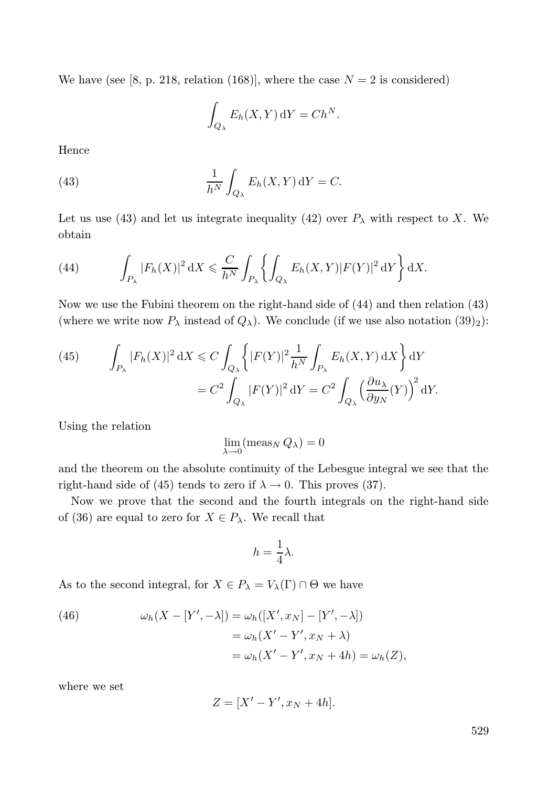We have (see [8, p. 218, relation (168)], where the case  $N = 2$  is considered)

$$
\int_{Q_{\lambda}} E_h(X, Y) \, \mathrm{d}Y = Ch^N.
$$

Hence

(43) 
$$
\frac{1}{h^N} \int_{Q_{\lambda}} E_h(X, Y) dY = C.
$$

Let us use (43) and let us integrate inequality (42) over  $P_{\lambda}$  with respect to X. We obtain

(44) 
$$
\int_{P_{\lambda}} |F_h(X)|^2 dX \leq \frac{C}{h^N} \int_{P_{\lambda}} \left\{ \int_{Q_{\lambda}} E_h(X,Y) |F(Y)|^2 dY \right\} dX.
$$

Now we use the Fubini theorem on the right-hand side of (44) and then relation (43) (where we write now  $P_{\lambda}$  instead of  $Q_{\lambda}$ ). We conclude (if we use also notation (39)<sub>2</sub>):

(45) 
$$
\int_{P_{\lambda}} |F_h(X)|^2 dX \leq C \int_{Q_{\lambda}} \left\{ |F(Y)|^2 \frac{1}{h^N} \int_{P_{\lambda}} E_h(X, Y) dX \right\} dY
$$

$$
= C^2 \int_{Q_{\lambda}} |F(Y)|^2 dY = C^2 \int_{Q_{\lambda}} \left( \frac{\partial u_{\lambda}}{\partial y_N}(Y) \right)^2 dY.
$$

Using the relation

$$
\lim_{\lambda \to 0} (\text{meas}_N Q_\lambda) = 0
$$

and the theorem on the absolute continuity of the Lebesgue integral we see that the right-hand side of (45) tends to zero if  $\lambda \to 0$ . This proves (37).

Now we prove that the second and the fourth integrals on the right-hand side of (36) are equal to zero for  $X \in P_\lambda$ . We recall that

$$
h = \frac{1}{4}\lambda.
$$

As to the second integral, for  $X \in P_{\lambda} = V_{\lambda}(\Gamma) \cap \Theta$  we have

(46) 
$$
\omega_h(X - [Y', -\lambda]) = \omega_h([X', x_N] - [Y', -\lambda])
$$

$$
= \omega_h(X' - Y', x_N + \lambda)
$$

$$
= \omega_h(X' - Y', x_N + 4h) = \omega_h(Z),
$$

where we set

$$
Z = [X' - Y', x_N + 4h].
$$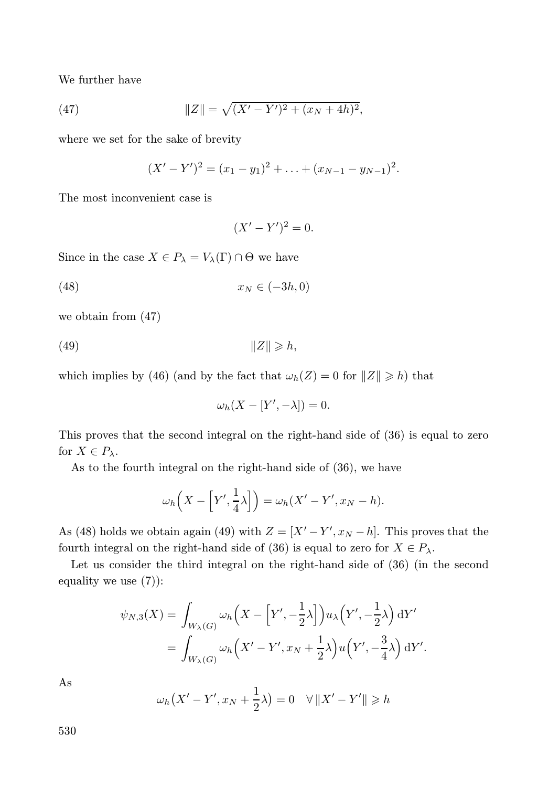We further have

(47) 
$$
||Z|| = \sqrt{(X'-Y')^2 + (x_N+4h)^2},
$$

where we set for the sake of brevity

$$
(X'-Y')^{2}=(x_{1}-y_{1})^{2}+\ldots+(x_{N-1}-y_{N-1})^{2}.
$$

The most inconvenient case is

$$
(X'-Y')^2=0.
$$

Since in the case  $X \in P_{\lambda} = V_{\lambda}(\Gamma) \cap \Theta$  we have

$$
(48)\qquad \qquad x_N \in (-3h, 0)
$$

we obtain from (47)

$$
(49) \t\t\t\t||Z|| \geq h,
$$

which implies by (46) (and by the fact that  $\omega_h(Z) = 0$  for  $||Z|| \geq h$ ) that

$$
\omega_h(X - [Y', -\lambda]) = 0.
$$

This proves that the second integral on the right-hand side of (36) is equal to zero for  $X \in P_{\lambda}$ .

As to the fourth integral on the right-hand side of (36), we have

$$
\omega_h\left(X-\left[Y',\frac{1}{4}\lambda\right]\right)=\omega_h(X'-Y',x_N-h).
$$

As (48) holds we obtain again (49) with  $Z = [X' - Y', x_N - h]$ . This proves that the fourth integral on the right-hand side of (36) is equal to zero for  $X \in P_{\lambda}$ .

Let us consider the third integral on the right-hand side of (36) (in the second equality we use (7)):

$$
\psi_{N,3}(X) = \int_{W_{\lambda}(G)} \omega_h \left(X - \left[Y', -\frac{1}{2}\lambda\right]\right) u_{\lambda}\left(Y', -\frac{1}{2}\lambda\right) dY' \n= \int_{W_{\lambda}(G)} \omega_h \left(X' - Y', x_N + \frac{1}{2}\lambda\right) u\left(Y', -\frac{3}{4}\lambda\right) dY'.
$$

As

$$
\omega_h(X' - Y', x_N + \frac{1}{2}\lambda) = 0 \quad \forall ||X' - Y'|| \geq h
$$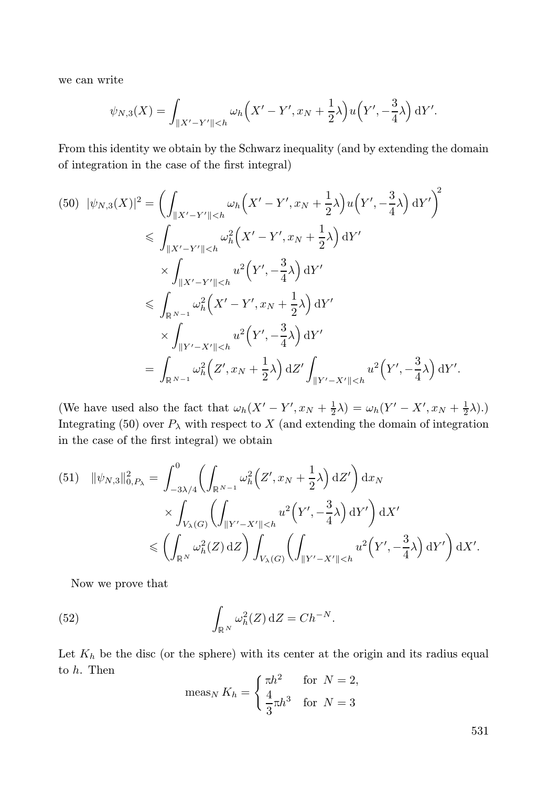we can write

$$
\psi_{N,3}(X) = \int_{\|X'-Y'\|
$$

From this identity we obtain by the Schwarz inequality (and by extending the domain of integration in the case of the first integral)

$$
(50) \ |\psi_{N,3}(X)|^2 = \left(\int_{\|X'-Y'\|  
$\leqslant \int_{\|X'-Y'\|
$$

(We have used also the fact that  $\omega_h(X'-Y', x_N + \frac{1}{2}\lambda) = \omega_h(Y'-X', x_N + \frac{1}{2}\lambda)$ .) Integrating (50) over  $P_{\lambda}$  with respect to X (and extending the domain of integration in the case of the first integral) we obtain

(51) 
$$
\|\psi_{N,3}\|_{0,P_{\lambda}}^{2} = \int_{-3\lambda/4}^{0} \left( \int_{\mathbb{R}^{N-1}} \omega_{h}^{2} (Z', x_{N} + \frac{1}{2}\lambda) dZ' \right) dx_{N} \times \int_{V_{\lambda}(G)} \left( \int_{\|Y'-X'\|
$$

Now we prove that

(52) 
$$
\int_{\mathbb{R}^N} \omega_h^2(Z) \, \mathrm{d}Z = Ch^{-N}.
$$

Let  $K_h$  be the disc (or the sphere) with its center at the origin and its radius equal to h. Then

$$
\operatorname{meas}_{N} K_{h} = \begin{cases} \pi h^{2} & \text{for } N = 2, \\ \frac{4}{3} \pi h^{3} & \text{for } N = 3 \end{cases}
$$

531

.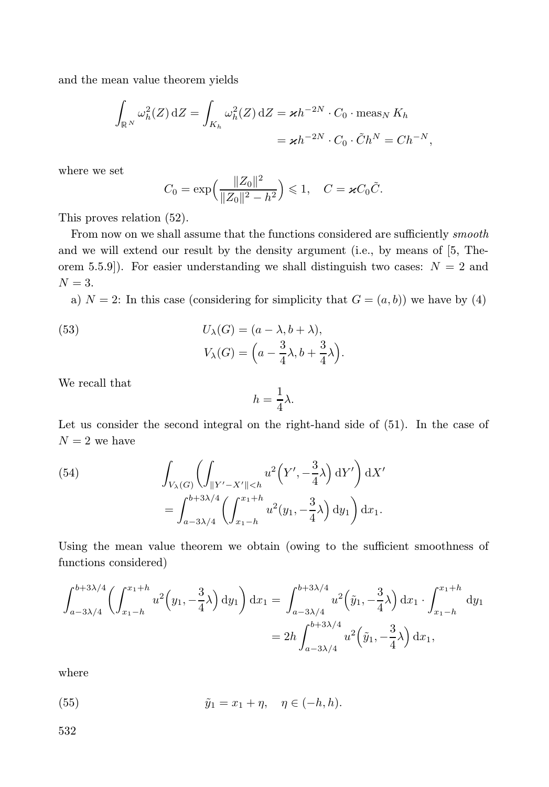and the mean value theorem yields

$$
\int_{\mathbb{R}^N} \omega_h^2(Z) \, \mathrm{d}Z = \int_{K_h} \omega_h^2(Z) \, \mathrm{d}Z = \varkappa h^{-2N} \cdot C_0 \cdot \text{meas}_N \, K_h
$$

$$
= \varkappa h^{-2N} \cdot C_0 \cdot \tilde{C} h^N = C h^{-N},
$$

where we set

$$
C_0 = \exp\left(\frac{\|Z_0\|^2}{\|Z_0\|^2 - h^2}\right) \le 1, \quad C = \varkappa C_0 \tilde{C}.
$$

This proves relation (52).

From now on we shall assume that the functions considered are sufficiently *smooth* and we will extend our result by the density argument (i.e., by means of [5, Theorem 5.5.9]). For easier understanding we shall distinguish two cases:  $N = 2$  and  $N = 3$ .

a)  $N = 2$ : In this case (considering for simplicity that  $G = (a, b)$ ) we have by (4)

(53) 
$$
U_{\lambda}(G) = (a - \lambda, b + \lambda),
$$

$$
V_{\lambda}(G) = \left(a - \frac{3}{4}\lambda, b + \frac{3}{4}\lambda\right).
$$

We recall that

$$
h = \frac{1}{4}\lambda.
$$

Let us consider the second integral on the right-hand side of (51). In the case of  $N=2$  we have

(54) 
$$
\int_{V_{\lambda}(G)} \left( \int_{\|Y' - X'\| < h} u^2 \left( Y', -\frac{3}{4} \lambda \right) dY' \right) dX' = \int_{a-3\lambda/4}^{b+3\lambda/4} \left( \int_{x_1-h}^{x_1+h} u^2(y_1, -\frac{3}{4} \lambda) dy_1 \right) dx_1.
$$

Using the mean value theorem we obtain (owing to the sufficient smoothness of functions considered)

$$
\int_{a-3\lambda/4}^{b+3\lambda/4} \left( \int_{x_1-h}^{x_1+h} u^2 \left( y_1, -\frac{3}{4} \lambda \right) dy_1 \right) dx_1 = \int_{a-3\lambda/4}^{b+3\lambda/4} u^2 \left( \tilde{y}_1, -\frac{3}{4} \lambda \right) dx_1 \cdot \int_{x_1-h}^{x_1+h} dy_1
$$

$$
= 2h \int_{a-3\lambda/4}^{b+3\lambda/4} u^2 \left( \tilde{y}_1, -\frac{3}{4} \lambda \right) dx_1,
$$

where

(55) 
$$
\tilde{y}_1 = x_1 + \eta, \quad \eta \in (-h, h).
$$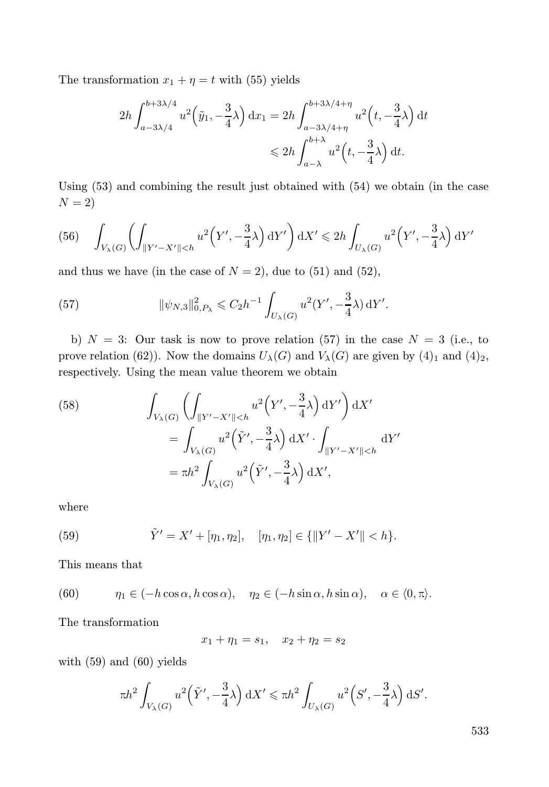The transformation  $x_1 + \eta = t$  with (55) yields

$$
2h \int_{a-3\lambda/4}^{b+3\lambda/4} u^2 \left(\tilde{y}_1, -\frac{3}{4}\lambda\right) dx_1 = 2h \int_{a-3\lambda/4+\eta}^{b+3\lambda/4+\eta} u^2 \left(t, -\frac{3}{4}\lambda\right) dt
$$
  

$$
\leq 2h \int_{a-\lambda}^{b+\lambda} u^2 \left(t, -\frac{3}{4}\lambda\right) dt.
$$

Using (53) and combining the result just obtained with (54) we obtain (in the case  $N = 2$ 

(56) 
$$
\int_{V_{\lambda}(G)} \left( \int_{\|Y'-X'\|
$$

and thus we have (in the case of  $N = 2$ ), due to (51) and (52),

(57) 
$$
\|\psi_{N,3}\|_{0,P_\lambda}^2 \leq C_2 h^{-1} \int_{U_\lambda(G)} u^2(Y',-\frac{3}{4}\lambda) dY'.
$$

b)  $N = 3$ : Our task is now to prove relation (57) in the case  $N = 3$  (i.e., to prove relation (62)). Now the domains  $U_\lambda(G)$  and  $V_\lambda(G)$  are given by (4)<sub>1</sub> and (4)<sub>2</sub>, respectively. Using the mean value theorem we obtain

(58) 
$$
\int_{V_{\lambda}(G)} \left( \int_{\|Y'-X'\|
$$

where

(59) 
$$
\tilde{Y}' = X' + [\eta_1, \eta_2], \quad [\eta_1, \eta_2] \in {\{\|Y' - X'\| < h\}}.
$$

This means that

(60) 
$$
\eta_1 \in (-h\cos\alpha, h\cos\alpha), \quad \eta_2 \in (-h\sin\alpha, h\sin\alpha), \quad \alpha \in \langle 0, \pi \rangle.
$$

The transformation

$$
x_1 + \eta_1 = s_1, \quad x_2 + \eta_2 = s_2
$$

with (59) and (60) yields

$$
\pi h^2 \int_{V_\lambda(G)} u^2 \left(\tilde{Y}', -\frac{3}{4}\lambda\right) \mathrm{d}X' \leqslant \pi h^2 \int_{U_\lambda(G)} u^2 \left(S', -\frac{3}{4}\lambda\right) \mathrm{d}S'.
$$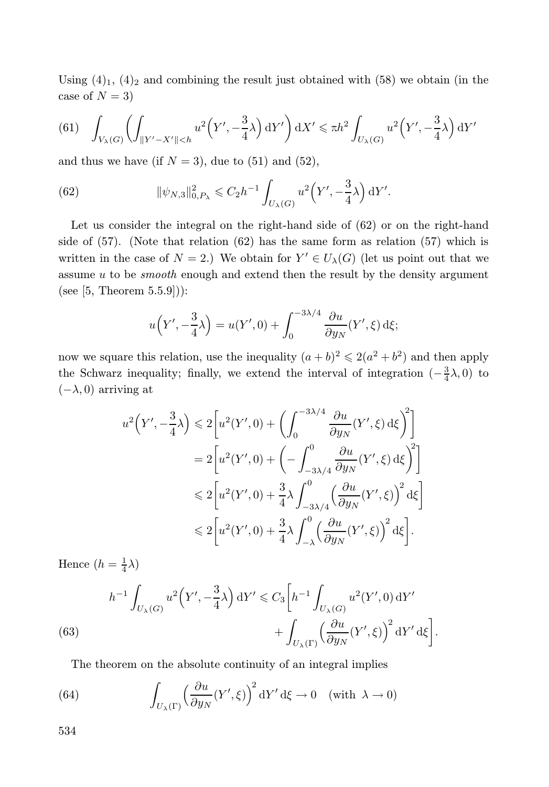Using  $(4)_1$ ,  $(4)_2$  and combining the result just obtained with (58) we obtain (in the case of  $N = 3$ )

$$
(61)\quad \int_{V_{\lambda}(G)}\left(\int_{\|Y'-X'\|
$$

and thus we have (if  $N = 3$ ), due to (51) and (52),

(62) 
$$
\|\psi_{N,3}\|_{0,P_{\lambda}}^2 \leq C_2 h^{-1} \int_{U_{\lambda}(G)} u^2 \left(Y', -\frac{3}{4}\lambda\right) dY'.
$$

Let us consider the integral on the right-hand side of (62) or on the right-hand side of (57). (Note that relation (62) has the same form as relation (57) which is written in the case of  $N = 2$ .) We obtain for  $Y' \in U_{\lambda}(G)$  (let us point out that we assume  $u$  to be *smooth* enough and extend then the result by the density argument (see  $[5, Theorem 5.5.9]$ ):

$$
u\left(Y', -\frac{3}{4}\lambda\right) = u(Y', 0) + \int_0^{-3\lambda/4} \frac{\partial u}{\partial y_N}(Y', \xi) d\xi;
$$

now we square this relation, use the inequality  $(a + b)^2 \leq 2(a^2 + b^2)$  and then apply the Schwarz inequality; finally, we extend the interval of integration  $\left(-\frac{3}{4}\lambda,0\right)$  to  $(-\lambda, 0)$  arriving at

$$
u^{2}\left(Y', -\frac{3}{4}\lambda\right) \leq 2\left[u^{2}(Y', 0) + \left(\int_{0}^{-3\lambda/4} \frac{\partial u}{\partial y_{N}}(Y', \xi) d\xi\right)^{2}\right]
$$
  

$$
= 2\left[u^{2}(Y', 0) + \left(-\int_{-3\lambda/4}^{0} \frac{\partial u}{\partial y_{N}}(Y', \xi) d\xi\right)^{2}\right]
$$
  

$$
\leq 2\left[u^{2}(Y', 0) + \frac{3}{4}\lambda \int_{-3\lambda/4}^{0} \left(\frac{\partial u}{\partial y_{N}}(Y', \xi)\right)^{2} d\xi\right]
$$
  

$$
\leq 2\left[u^{2}(Y', 0) + \frac{3}{4}\lambda \int_{-\lambda}^{0} \left(\frac{\partial u}{\partial y_{N}}(Y', \xi)\right)^{2} d\xi\right].
$$

Hence  $(h = \frac{1}{4}\lambda)$ 

(63) 
$$
h^{-1} \int_{U_{\lambda}(G)} u^2 \left(Y', -\frac{3}{4}\lambda\right) dY' \leq C_3 \left[h^{-1} \int_{U_{\lambda}(G)} u^2(Y', 0) dY' + \int_{U_{\lambda}(\Gamma)} \left(\frac{\partial u}{\partial y_N}(Y', \xi)\right)^2 dY' d\xi\right].
$$

The theorem on the absolute continuity of an integral implies

(64) 
$$
\int_{U_{\lambda}(\Gamma)} \left(\frac{\partial u}{\partial y_N}(Y',\xi)\right)^2 dY' d\xi \to 0 \quad \text{(with } \lambda \to 0\text{)}
$$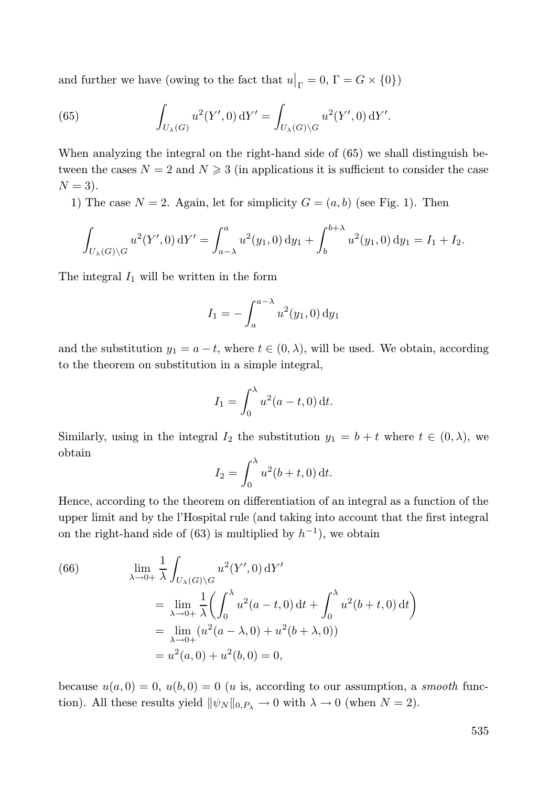and further we have (owing to the fact that  $u|_{\Gamma} = 0$ ,  $\Gamma = G \times \{0\}$ )

(65) 
$$
\int_{U_{\lambda}(G)} u^2(Y', 0) \, dY' = \int_{U_{\lambda}(G) \backslash G} u^2(Y', 0) \, dY'.
$$

When analyzing the integral on the right-hand side of (65) we shall distinguish between the cases  $N = 2$  and  $N \geq 3$  (in applications it is sufficient to consider the case  $N = 3$ ).

1) The case  $N = 2$ . Again, let for simplicity  $G = (a, b)$  (see Fig. 1). Then

$$
\int_{U_{\lambda}(G)\backslash G} u^2(Y',0) \, \mathrm{d}Y' = \int_{a-\lambda}^a u^2(y_1,0) \, \mathrm{d}y_1 + \int_b^{b+\lambda} u^2(y_1,0) \, \mathrm{d}y_1 = I_1 + I_2.
$$

The integral  $I_1$  will be written in the form

$$
I_1 = -\int_a^{a-\lambda} u^2(y_1, 0) \, dy_1
$$

and the substitution  $y_1 = a - t$ , where  $t \in (0, \lambda)$ , will be used. We obtain, according to the theorem on substitution in a simple integral,

$$
I_1 = \int_0^\lambda u^2(a - t, 0) dt.
$$

Similarly, using in the integral  $I_2$  the substitution  $y_1 = b + t$  where  $t \in (0, \lambda)$ , we obtain

$$
I_2 = \int_0^\lambda u^2(b+t,0) \, \mathrm{d}t.
$$

Hence, according to the theorem on differentiation of an integral as a function of the upper limit and by the l'Hospital rule (and taking into account that the first integral on the right-hand side of  $(63)$  is multiplied by  $h^{-1}$ , we obtain

(66) 
$$
\lim_{\lambda \to 0+} \frac{1}{\lambda} \int_{U_{\lambda}(G) \backslash G} u^{2}(Y', 0) dY'
$$
  
\n
$$
= \lim_{\lambda \to 0+} \frac{1}{\lambda} \left( \int_{0}^{\lambda} u^{2}(a - t, 0) dt + \int_{0}^{\lambda} u^{2}(b + t, 0) dt \right)
$$
  
\n
$$
= \lim_{\lambda \to 0+} (u^{2}(a - \lambda, 0) + u^{2}(b + \lambda, 0))
$$
  
\n
$$
= u^{2}(a, 0) + u^{2}(b, 0) = 0,
$$

because  $u(a, 0) = 0$ ,  $u(b, 0) = 0$  (*u* is, according to our assumption, a *smooth* function). All these results yield  $\|\psi_N\|_{0,P_\lambda} \to 0$  with  $\lambda \to 0$  (when  $N = 2$ ).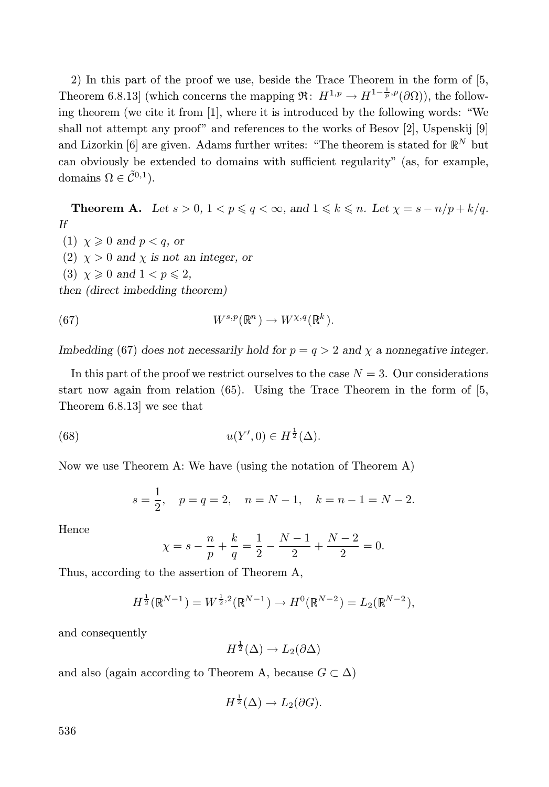2) In this part of the proof we use, beside the Trace Theorem in the form of [5, Theorem 6.8.13] (which concerns the mapping  $\mathfrak{R}$ :  $H^{1,p} \to H^{1-\frac{1}{p},p}(\partial\Omega)$ ), the following theorem (we cite it from [1], where it is introduced by the following words: "We shall not attempt any proof" and references to the works of Besov [2], Uspenskij [9] and Lizorkin [6] are given. Adams further writes: "The theorem is stated for  $\mathbb{R}^N$  but can obviously be extended to domains with sufficient regularity" (as, for example, domains  $\Omega \in \tilde{\mathcal{C}}^{0,1}$ ).

**Theorem A.** Let  $s > 0$ ,  $1 < p \leqslant q < \infty$ , and  $1 \leqslant k \leqslant n$ . Let  $\chi = s - n/p + k/q$ . If

(1)  $\chi \geqslant 0$  and  $p < q$ , or (2)  $\chi > 0$  and  $\chi$  is not an integer, or (3)  $\chi \geqslant 0$  and  $1 < p \leqslant 2$ , then (direct imbedding theorem)

(67) 
$$
W^{s,p}(\mathbb{R}^n) \to W^{\chi,q}(\mathbb{R}^k).
$$

Imbedding (67) does not necessarily hold for  $p = q > 2$  and  $\chi$  a nonnegative integer.

In this part of the proof we restrict ourselves to the case  $N = 3$ . Our considerations start now again from relation (65). Using the Trace Theorem in the form of [5, Theorem 6.8.13] we see that

(68) 
$$
u(Y',0) \in H^{\frac{1}{2}}(\Delta).
$$

Now we use Theorem A: We have (using the notation of Theorem A)

$$
s = \frac{1}{2}
$$
,  $p = q = 2$ ,  $n = N - 1$ ,  $k = n - 1 = N - 2$ .

Hence

$$
\chi = s - \frac{n}{p} + \frac{k}{q} = \frac{1}{2} - \frac{N-1}{2} + \frac{N-2}{2} = 0.
$$

Thus, according to the assertion of Theorem A,

$$
H^{\frac{1}{2}}(\mathbb{R}^{N-1}) = W^{\frac{1}{2},2}(\mathbb{R}^{N-1}) \to H^0(\mathbb{R}^{N-2}) = L_2(\mathbb{R}^{N-2}),
$$

and consequently

$$
H^{\frac{1}{2}}(\Delta) \to L_2(\partial \Delta)
$$

and also (again according to Theorem A, because  $G \subset \Delta$ )

$$
H^{\frac{1}{2}}(\Delta) \to L_2(\partial G).
$$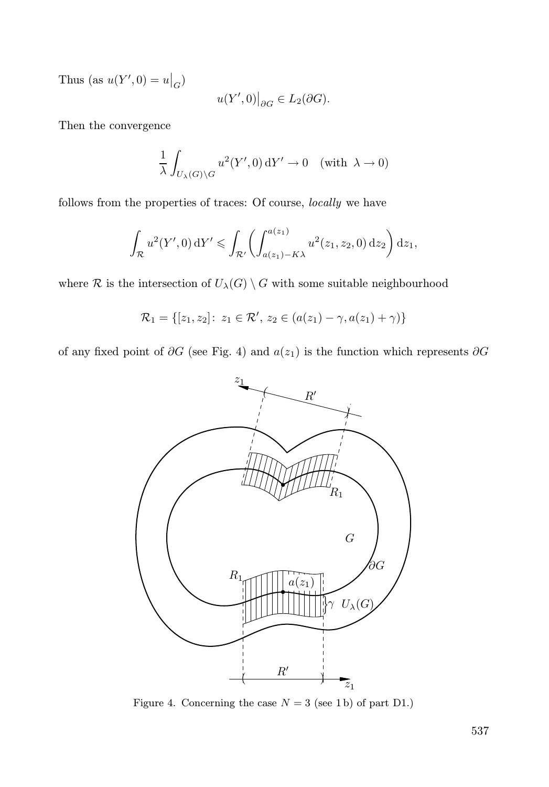Thus (as  $u(Y', 0) = u|_G$ )

$$
u(Y',0)\big|_{\partial G}\in L_2(\partial G).
$$

Then the convergence

$$
\frac{1}{\lambda} \int_{U_{\lambda}(G) \backslash G} u^2(Y', 0) \, \mathrm{d}Y' \to 0 \quad (\text{with } \lambda \to 0)
$$

follows from the properties of traces: Of course, locally we have

$$
\int_{\mathcal{R}} u^2(Y', 0) \, \mathrm{d}Y' \leq \int_{\mathcal{R}'} \left( \int_{a(z_1) - K\lambda}^{a(z_1)} u^2(z_1, z_2, 0) \, \mathrm{d}z_2 \right) \mathrm{d}z_1,
$$

where  $R$  is the intersection of  $U_{\lambda}(G) \setminus G$  with some suitable neighbourhood

$$
\mathcal{R}_1 = \{ [z_1, z_2] \colon z_1 \in \mathcal{R}', z_2 \in (a(z_1) - \gamma, a(z_1) + \gamma) \}
$$

of any fixed point of ∂G (see Fig. 4) and  $a(z_1)$  is the function which represents ∂G



Figure 4. Concerning the case  $N = 3$  (see 1 b) of part D1.)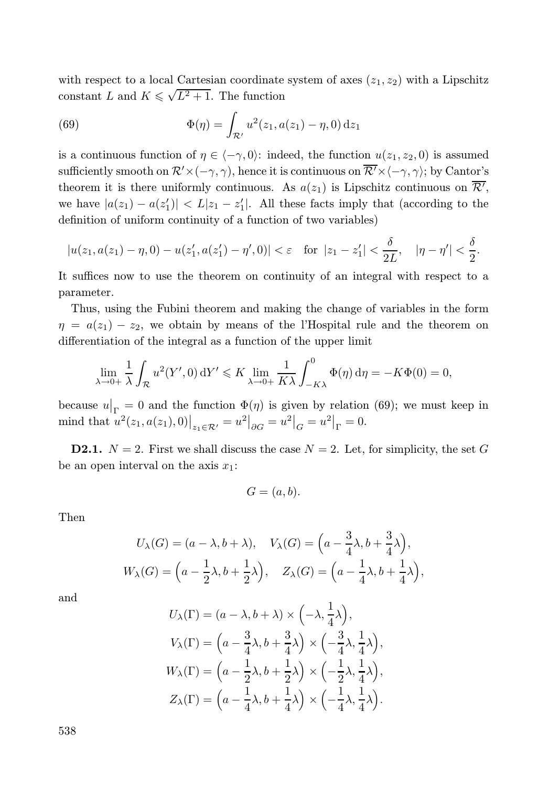with respect to a local Cartesian coordinate system of axes  $(z_1, z_2)$  with a Lipschitz constant L and  $K \leq \sqrt{L^2 + 1}$ . The function

(69) 
$$
\Phi(\eta) = \int_{\mathcal{R}'} u^2(z_1, a(z_1) - \eta, 0) dz_1
$$

is a continuous function of  $\eta \in \langle -\gamma, 0 \rangle$ : indeed, the function  $u(z_1, z_2, 0)$  is assumed sufficiently smooth on  $\mathcal{R}'\times(-\gamma, \gamma)$ , hence it is continuous on  $\overline{\mathcal{R}'}\times\langle-\gamma, \gamma\rangle$ ; by Cantor's theorem it is there uniformly continuous. As  $a(z_1)$  is Lipschitz continuous on  $\mathcal{R}',$ we have  $|a(z_1) - a(z_1')| < L|z_1 - z_1'|$ . All these facts imply that (according to the definition of uniform continuity of a function of two variables)

$$
|u(z_1, a(z_1) - \eta, 0) - u(z_1', a(z_1') - \eta', 0)| < \varepsilon \quad \text{for } |z_1 - z_1'| < \frac{\delta}{2L}, \quad |\eta - \eta'| < \frac{\delta}{2}.
$$

It suffices now to use the theorem on continuity of an integral with respect to a parameter.

Thus, using the Fubini theorem and making the change of variables in the form  $\eta = a(z_1) - z_2$ , we obtain by means of the l'Hospital rule and the theorem on differentiation of the integral as a function of the upper limit

$$
\lim_{\lambda \to 0+} \frac{1}{\lambda} \int_{\mathcal{R}} u^2(Y', 0) dY' \leqslant K \lim_{\lambda \to 0+} \frac{1}{K\lambda} \int_{-K\lambda}^0 \Phi(\eta) d\eta = -K\Phi(0) = 0,
$$

because  $u|_{\Gamma} = 0$  and the function  $\Phi(\eta)$  is given by relation (69); we must keep in mind that  $u^2(z_1, a(z_1), 0)|_{z_1 \in \mathcal{R}'} = u^2|_{\partial G} = u^2|_G = u^2|_{\Gamma} = 0.$ 

**D2.1.**  $N = 2$ . First we shall discuss the case  $N = 2$ . Let, for simplicity, the set G be an open interval on the axis  $x_1$ :

$$
G=(a,b).
$$

Then

$$
U_{\lambda}(G) = (a - \lambda, b + \lambda), \quad V_{\lambda}(G) = \left(a - \frac{3}{4}\lambda, b + \frac{3}{4}\lambda\right),
$$
  

$$
W_{\lambda}(G) = \left(a - \frac{1}{2}\lambda, b + \frac{1}{2}\lambda\right), \quad Z_{\lambda}(G) = \left(a - \frac{1}{4}\lambda, b + \frac{1}{4}\lambda\right),
$$

and

$$
U_{\lambda}(\Gamma) = (a - \lambda, b + \lambda) \times \left( -\lambda, \frac{1}{4}\lambda \right),
$$
  
\n
$$
V_{\lambda}(\Gamma) = \left( a - \frac{3}{4}\lambda, b + \frac{3}{4}\lambda \right) \times \left( -\frac{3}{4}\lambda, \frac{1}{4}\lambda \right),
$$
  
\n
$$
W_{\lambda}(\Gamma) = \left( a - \frac{1}{2}\lambda, b + \frac{1}{2}\lambda \right) \times \left( -\frac{1}{2}\lambda, \frac{1}{4}\lambda \right),
$$
  
\n
$$
Z_{\lambda}(\Gamma) = \left( a - \frac{1}{4}\lambda, b + \frac{1}{4}\lambda \right) \times \left( -\frac{1}{4}\lambda, \frac{1}{4}\lambda \right).
$$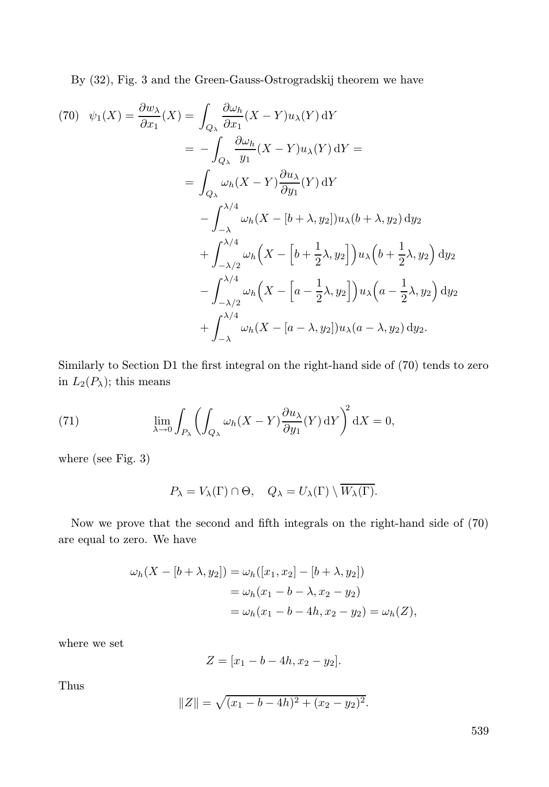By (32), Fig. 3 and the Green-Gauss-Ostrogradskij theorem we have

$$
(70) \quad \psi_1(X) = \frac{\partial w_{\lambda}}{\partial x_1}(X) = \int_{Q_{\lambda}} \frac{\partial \omega_h}{\partial x_1}(X - Y)u_{\lambda}(Y) \,dY
$$
  
\n
$$
= -\int_{Q_{\lambda}} \frac{\partial \omega_h}{y_1}(X - Y)u_{\lambda}(Y) \,dY
$$
  
\n
$$
= \int_{Q_{\lambda}} \omega_h(X - Y) \frac{\partial u_{\lambda}}{\partial y_1}(Y) \,dY
$$
  
\n
$$
- \int_{-\lambda}^{\lambda/4} \omega_h(X - [b + \lambda, y_2])u_{\lambda}(b + \lambda, y_2) \,dy_2
$$
  
\n
$$
+ \int_{-\lambda/2}^{\lambda/4} \omega_h(X - [b + \frac{1}{2}\lambda, y_2])u_{\lambda}\Big(b + \frac{1}{2}\lambda, y_2\Big) \,dy_2
$$
  
\n
$$
- \int_{-\lambda/2}^{\lambda/4} \omega_h(X - [a - \frac{1}{2}\lambda, y_2])u_{\lambda}\Big(a - \frac{1}{2}\lambda, y_2\Big) \,dy_2
$$
  
\n
$$
+ \int_{-\lambda}^{\lambda/4} \omega_h(X - [a - \lambda, y_2])u_{\lambda}(a - \lambda, y_2) \,dy_2.
$$

Similarly to Section D1 the first integral on the right-hand side of (70) tends to zero in  $L_2(P_\lambda)$ ; this means

(71) 
$$
\lim_{\lambda \to 0} \int_{P_{\lambda}} \left( \int_{Q_{\lambda}} \omega_h (X - Y) \frac{\partial u_{\lambda}}{\partial y_1} (Y) \, dY \right)^2 dX = 0,
$$

where (see Fig. 3)

$$
P_{\lambda} = V_{\lambda}(\Gamma) \cap \Theta, \quad Q_{\lambda} = U_{\lambda}(\Gamma) \setminus \overline{W_{\lambda}(\Gamma)}.
$$

Now we prove that the second and fifth integrals on the right-hand side of (70) are equal to zero. We have

$$
\omega_h(X - [b + \lambda, y_2]) = \omega_h([x_1, x_2] - [b + \lambda, y_2])
$$
  
=  $\omega_h(x_1 - b - \lambda, x_2 - y_2)$   
=  $\omega_h(x_1 - b - 4h, x_2 - y_2) = \omega_h(Z),$ 

where we set

$$
Z = [x_1 - b - 4h, x_2 - y_2].
$$

Thus

$$
||Z|| = \sqrt{(x_1 - b - 4h)^2 + (x_2 - y_2)^2}.
$$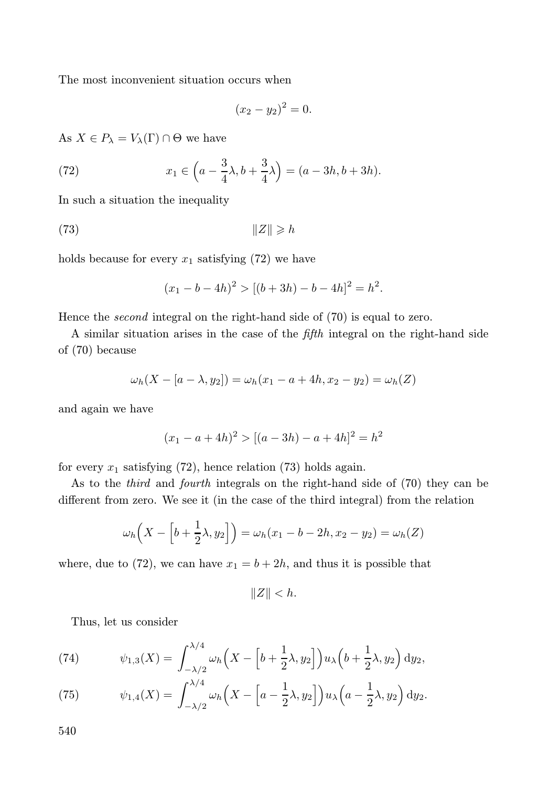The most inconvenient situation occurs when

$$
(x_2 - y_2)^2 = 0.
$$

As  $X \in P_{\lambda} = V_{\lambda}(\Gamma) \cap \Theta$  we have

(72) 
$$
x_1 \in \left( a - \frac{3}{4} \lambda, b + \frac{3}{4} \lambda \right) = (a - 3h, b + 3h).
$$

In such a situation the inequality

$$
\|Z\| \geqslant h
$$

holds because for every  $x_1$  satisfying (72) we have

$$
(x1 - b - 4h)2 > [(b + 3h) - b - 4h]2 = h2.
$$

Hence the *second* integral on the right-hand side of  $(70)$  is equal to zero.

A similar situation arises in the case of the fifth integral on the right-hand side of (70) because

$$
\omega_h(X - [a - \lambda, y_2]) = \omega_h(x_1 - a + 4h, x_2 - y_2) = \omega_h(Z)
$$

and again we have

$$
(x_1 - a + 4h)^2 > [(a - 3h) - a + 4h]^2 = h^2
$$

for every  $x_1$  satisfying (72), hence relation (73) holds again.

As to the third and fourth integrals on the right-hand side of (70) they can be different from zero. We see it (in the case of the third integral) from the relation

$$
\omega_h\Big(X - \Big[b + \frac{1}{2}\lambda, y_2\Big]\Big) = \omega_h(x_1 - b - 2h, x_2 - y_2) = \omega_h(Z)
$$

where, due to (72), we can have  $x_1 = b + 2h$ , and thus it is possible that

 $||Z|| < h$ .

Thus, let us consider

(74) 
$$
\psi_{1,3}(X) = \int_{-\lambda/2}^{\lambda/4} \omega_h \left( X - \left[ b + \frac{1}{2} \lambda, y_2 \right] \right) u_{\lambda} \left( b + \frac{1}{2} \lambda, y_2 \right) dy_2,
$$

(75) 
$$
\psi_{1,4}(X) = \int_{-\lambda/2}^{\lambda/4} \omega_h \left( X - \left[ a - \frac{1}{2} \lambda, y_2 \right] \right) u_{\lambda} \left( a - \frac{1}{2} \lambda, y_2 \right) dy_2.
$$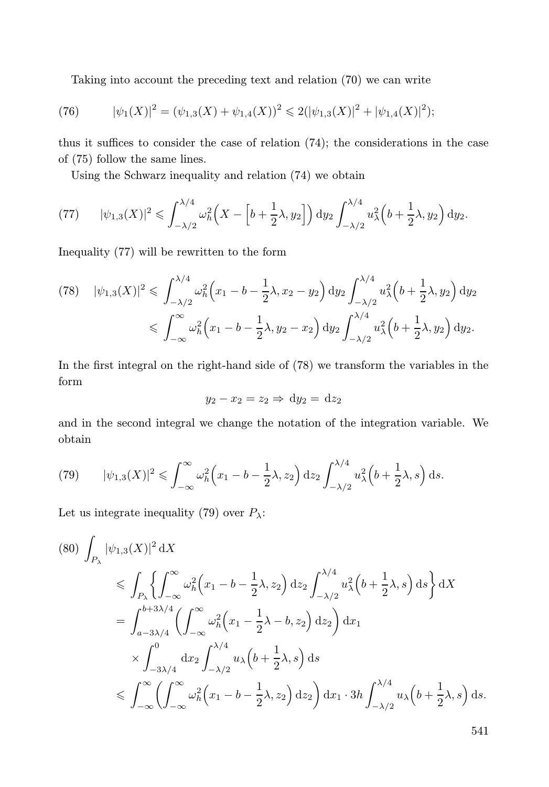Taking into account the preceding text and relation (70) we can write

(76) 
$$
|\psi_1(X)|^2 = (\psi_{1,3}(X) + \psi_{1,4}(X))^2 \leq 2(|\psi_{1,3}(X)|^2 + |\psi_{1,4}(X)|^2);
$$

thus it suffices to consider the case of relation (74); the considerations in the case of (75) follow the same lines.

Using the Schwarz inequality and relation (74) we obtain

(77) 
$$
|\psi_{1,3}(X)|^2 \leq \int_{-\lambda/2}^{\lambda/4} \omega_h^2 \left(X - \left[b + \frac{1}{2}\lambda, y_2\right]\right) dy_2 \int_{-\lambda/2}^{\lambda/4} u_\lambda^2 \left(b + \frac{1}{2}\lambda, y_2\right) dy_2.
$$

Inequality (77) will be rewritten to the form

$$
(78) \quad |\psi_{1,3}(X)|^2 \leq \int_{-\lambda/2}^{\lambda/4} \omega_h^2 \left(x_1 - b - \frac{1}{2}\lambda, x_2 - y_2\right) dy_2 \int_{-\lambda/2}^{\lambda/4} u_\lambda^2 \left(b + \frac{1}{2}\lambda, y_2\right) dy_2
$$
  

$$
\leq \int_{-\infty}^{\infty} \omega_h^2 \left(x_1 - b - \frac{1}{2}\lambda, y_2 - x_2\right) dy_2 \int_{-\lambda/2}^{\lambda/4} u_\lambda^2 \left(b + \frac{1}{2}\lambda, y_2\right) dy_2.
$$

In the first integral on the right-hand side of (78) we transform the variables in the form

$$
y_2 - x_2 = z_2 \Rightarrow dy_2 = dz_2
$$

and in the second integral we change the notation of the integration variable. We obtain

(79) 
$$
|\psi_{1,3}(X)|^2 \leqslant \int_{-\infty}^{\infty} \omega_h^2 \left(x_1 - b - \frac{1}{2}\lambda, z_2\right) dz_2 \int_{-\lambda/2}^{\lambda/4} u_\lambda^2 \left(b + \frac{1}{2}\lambda, s\right) ds.
$$

Let us integrate inequality (79) over  $P_{\lambda}$ :

$$
(80) \int_{P_{\lambda}} |\psi_{1,3}(X)|^2 dX
$$
  
\n
$$
\leq \int_{P_{\lambda}} \left\{ \int_{-\infty}^{\infty} \omega_h^2 (x_1 - b - \frac{1}{2}\lambda, z_2) dz_2 \int_{-\lambda/2}^{\lambda/4} u_{\lambda}^2 (b + \frac{1}{2}\lambda, s) ds \right\} dX
$$
  
\n
$$
= \int_{a-3\lambda/4}^{b+3\lambda/4} \left( \int_{-\infty}^{\infty} \omega_h^2 (x_1 - \frac{1}{2}\lambda - b, z_2) dz_2 \right) dx_1
$$
  
\n
$$
\times \int_{-3\lambda/4}^0 dx_2 \int_{-\lambda/2}^{\lambda/4} u_{\lambda} (b + \frac{1}{2}\lambda, s) ds
$$
  
\n
$$
\leq \int_{-\infty}^{\infty} \left( \int_{-\infty}^{\infty} \omega_h^2 (x_1 - b - \frac{1}{2}\lambda, z_2) dz_2 \right) dx_1 \cdot 3h \int_{-\lambda/2}^{\lambda/4} u_{\lambda} (b + \frac{1}{2}\lambda, s) ds.
$$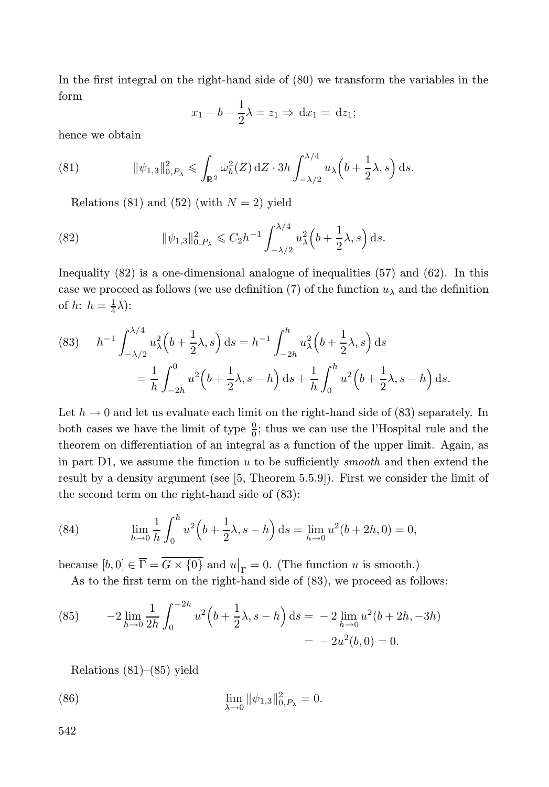In the first integral on the right-hand side of (80) we transform the variables in the form

$$
x_1 - b - \frac{1}{2}\lambda = z_1 \Rightarrow \mathrm{d}x_1 = \mathrm{d}z_1;
$$

hence we obtain

(81) 
$$
\|\psi_{1,3}\|_{0,P_\lambda}^2 \leq \int_{\mathbb{R}^2} \omega_h^2(Z) \,dZ \cdot 3h \int_{-\lambda/2}^{\lambda/4} u_\lambda\Big(b+\frac{1}{2}\lambda,s\Big) \,ds.
$$

Relations (81) and (52) (with  $N = 2$ ) yield

(82) 
$$
\|\psi_{1,3}\|_{0,P_{\lambda}}^2 \leq C_2 h^{-1} \int_{-\lambda/2}^{\lambda/4} u_{\lambda}^2 \left(b + \frac{1}{2}\lambda, s\right) ds.
$$

Inequality (82) is a one-dimensional analogue of inequalities (57) and (62). In this case we proceed as follows (we use definition (7) of the function  $u_{\lambda}$  and the definition of  $h: h = \frac{1}{4}\lambda$ :

(83) 
$$
h^{-1} \int_{-\lambda/2}^{\lambda/4} u_{\lambda}^{2} \left(b + \frac{1}{2}\lambda, s\right) ds = h^{-1} \int_{-2h}^{h} u_{\lambda}^{2} \left(b + \frac{1}{2}\lambda, s\right) ds
$$

$$
= \frac{1}{h} \int_{-2h}^{0} u^{2} \left(b + \frac{1}{2}\lambda, s - h\right) ds + \frac{1}{h} \int_{0}^{h} u^{2} \left(b + \frac{1}{2}\lambda, s - h\right) ds.
$$

Let  $h \to 0$  and let us evaluate each limit on the right-hand side of (83) separately. In both cases we have the limit of type  $\frac{0}{0}$ ; thus we can use the l'Hospital rule and the theorem on differentiation of an integral as a function of the upper limit. Again, as in part  $D1$ , we assume the function  $u$  to be sufficiently *smooth* and then extend the result by a density argument (see [5, Theorem 5.5.9]). First we consider the limit of the second term on the right-hand side of (83):

(84) 
$$
\lim_{h \to 0} \frac{1}{h} \int_0^h u^2 \left(b + \frac{1}{2}\lambda, s - h\right) ds = \lim_{h \to 0} u^2(b + 2h, 0) = 0,
$$

because  $[b, 0] \in \overline{\Gamma} = \overline{G \times \{0\}}$  and  $u|_{\Gamma} = 0$ . (The function u is smooth.)

As to the first term on the right-hand side of (83), we proceed as follows:

(85) 
$$
-2 \lim_{h \to 0} \frac{1}{2h} \int_0^{-2h} u^2 \left(b + \frac{1}{2}\lambda, s - h\right) ds = -2 \lim_{h \to 0} u^2 (b + 2h, -3h)
$$

$$
= -2u^2 (b, 0) = 0.
$$

Relations  $(81)–(85)$  yield

(86) 
$$
\lim_{\lambda \to 0} \|\psi_{1,3}\|_{0,P_{\lambda}}^2 = 0.
$$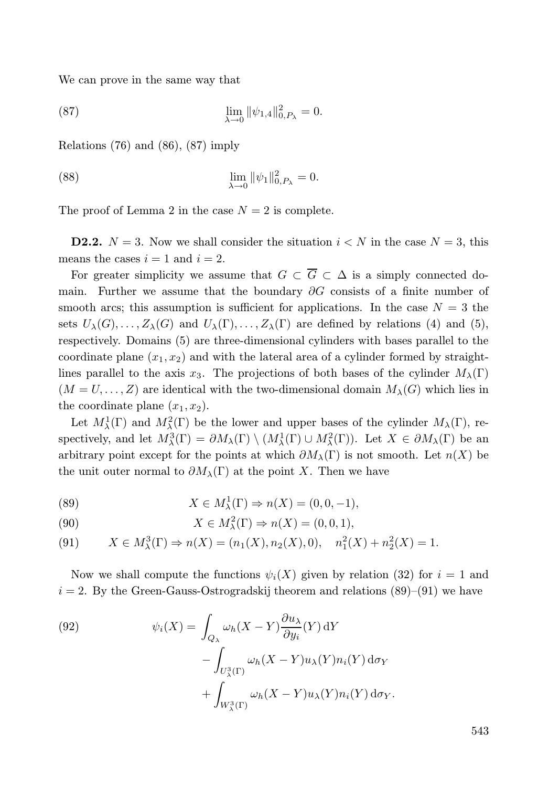We can prove in the same way that

(87) 
$$
\lim_{\lambda \to 0} \|\psi_{1,4}\|_{0,P_{\lambda}}^2 = 0.
$$

Relations (76) and (86), (87) imply

(88) 
$$
\lim_{\lambda \to 0} ||\psi_1||_{0,P_{\lambda}}^2 = 0.
$$

The proof of Lemma 2 in the case  $N = 2$  is complete.

**D2.2.**  $N = 3$ . Now we shall consider the situation  $i < N$  in the case  $N = 3$ , this means the cases  $i = 1$  and  $i = 2$ .

For greater simplicity we assume that  $G \subset \overline{G} \subset \Delta$  is a simply connected domain. Further we assume that the boundary  $\partial G$  consists of a finite number of smooth arcs; this assumption is sufficient for applications. In the case  $N = 3$  the sets  $U_\lambda(G), \ldots, Z_\lambda(G)$  and  $U_\lambda(\Gamma), \ldots, Z_\lambda(\Gamma)$  are defined by relations (4) and (5), respectively. Domains (5) are three-dimensional cylinders with bases parallel to the coordinate plane  $(x_1, x_2)$  and with the lateral area of a cylinder formed by straightlines parallel to the axis  $x_3$ . The projections of both bases of the cylinder  $M_\lambda(\Gamma)$  $(M = U, \ldots, Z)$  are identical with the two-dimensional domain  $M_{\lambda}(G)$  which lies in the coordinate plane  $(x_1, x_2)$ .

Let  $M^1_\lambda(\Gamma)$  and  $M^2_\lambda(\Gamma)$  be the lower and upper bases of the cylinder  $M_\lambda(\Gamma)$ , respectively, and let  $M^3_\lambda(\Gamma) = \partial M_\lambda(\Gamma) \setminus (M^1_\lambda(\Gamma) \cup M^2_\lambda(\Gamma))$ . Let  $X \in \partial M_\lambda(\Gamma)$  be an arbitrary point except for the points at which  $\partial M_\lambda(\Gamma)$  is not smooth. Let  $n(X)$  be the unit outer normal to  $\partial M_{\lambda}(\Gamma)$  at the point X. Then we have

(89) 
$$
X \in M_{\lambda}^{1}(\Gamma) \Rightarrow n(X) = (0, 0, -1),
$$

(90) 
$$
X \in M_{\lambda}^{2}(\Gamma) \Rightarrow n(X) = (0, 0, 1),
$$

(91) 
$$
X \in M_{\lambda}^{3}(\Gamma) \Rightarrow n(X) = (n_{1}(X), n_{2}(X), 0), \quad n_{1}^{2}(X) + n_{2}^{2}(X) = 1.
$$

Now we shall compute the functions  $\psi_i(X)$  given by relation (32) for  $i = 1$  and  $i = 2$ . By the Green-Gauss-Ostrogradskij theorem and relations  $(89)$ – $(91)$  we have

(92) 
$$
\psi_i(X) = \int_{Q_{\lambda}} \omega_h(X - Y) \frac{\partial u_{\lambda}}{\partial y_i}(Y) dY - \int_{U_{\lambda}^3(\Gamma)} \omega_h(X - Y) u_{\lambda}(Y) n_i(Y) d\sigma_Y + \int_{W_{\lambda}^3(\Gamma)} \omega_h(X - Y) u_{\lambda}(Y) n_i(Y) d\sigma_Y.
$$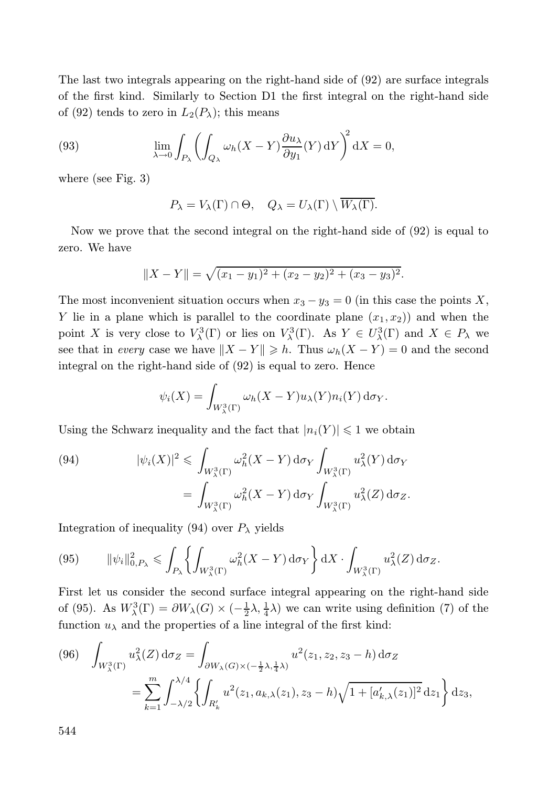The last two integrals appearing on the right-hand side of (92) are surface integrals of the first kind. Similarly to Section D1 the first integral on the right-hand side of (92) tends to zero in  $L_2(P_\lambda)$ ; this means

(93) 
$$
\lim_{\lambda \to 0} \int_{P_{\lambda}} \left( \int_{Q_{\lambda}} \omega_h (X - Y) \frac{\partial u_{\lambda}}{\partial y_1} (Y) \, dY \right)^2 dX = 0,
$$

where (see Fig. 3)

$$
P_{\lambda} = V_{\lambda}(\Gamma) \cap \Theta, \quad Q_{\lambda} = U_{\lambda}(\Gamma) \setminus \overline{W_{\lambda}(\Gamma)}.
$$

Now we prove that the second integral on the right-hand side of (92) is equal to zero. We have

$$
||X - Y|| = \sqrt{(x_1 - y_1)^2 + (x_2 - y_2)^2 + (x_3 - y_3)^2}.
$$

The most inconvenient situation occurs when  $x_3 - y_3 = 0$  (in this case the points X, Y lie in a plane which is parallel to the coordinate plane  $(x_1, x_2)$  and when the point X is very close to  $V^3_\lambda(\Gamma)$  or lies on  $V^3_\lambda(\Gamma)$ . As  $Y \in U^3_\lambda(\Gamma)$  and  $X \in P_\lambda$  we see that in every case we have  $||X - Y|| \geq h$ . Thus  $\omega_h(X - Y) = 0$  and the second integral on the right-hand side of (92) is equal to zero. Hence

$$
\psi_i(X) = \int_{W^3_{\lambda}(\Gamma)} \omega_h(X - Y) u_{\lambda}(Y) n_i(Y) d\sigma_Y.
$$

Using the Schwarz inequality and the fact that  $|n_i(Y)| \leq 1$  we obtain

(94) 
$$
|\psi_i(X)|^2 \leq \int_{W^3_{\lambda}(\Gamma)} \omega_h^2(X-Y) d\sigma_Y \int_{W^3_{\lambda}(\Gamma)} u_{\lambda}^2(Y) d\sigma_Y
$$

$$
= \int_{W^3_{\lambda}(\Gamma)} \omega_h^2(X-Y) d\sigma_Y \int_{W^3_{\lambda}(\Gamma)} u_{\lambda}^2(Z) d\sigma_Z.
$$

Integration of inequality (94) over  $P_{\lambda}$  yields

$$
(95) \qquad \|\psi_i\|_{0,P_\lambda}^2 \leqslant \int_{P_\lambda} \left\{ \int_{W^3_\lambda(\Gamma)} \omega_h^2(X-Y) \, \mathrm{d}\sigma_Y \right\} \mathrm{d}X \cdot \int_{W^3_\lambda(\Gamma)} u_\lambda^2(Z) \, \mathrm{d}\sigma_Z.
$$

First let us consider the second surface integral appearing on the right-hand side of (95). As  $W^3_\lambda(\Gamma) = \partial W_\lambda(G) \times (-\frac{1}{2}\lambda, \frac{1}{4}\lambda)$  we can write using definition (7) of the function  $u_{\lambda}$  and the properties of a line integral of the first kind:

$$
(96) \quad \int_{W_{\lambda}^3(\Gamma)} u_{\lambda}^2(Z) d\sigma_Z = \int_{\partial W_{\lambda}(G) \times (-\frac{1}{2}\lambda, \frac{1}{4}\lambda)} u^2(z_1, z_2, z_3 - h) d\sigma_Z
$$
  
= 
$$
\sum_{k=1}^m \int_{-\lambda/2}^{\lambda/4} \left\{ \int_{R'_k} u^2(z_1, a_{k,\lambda}(z_1), z_3 - h) \sqrt{1 + [a'_{k,\lambda}(z_1)]^2} dz_1 \right\} dz_3,
$$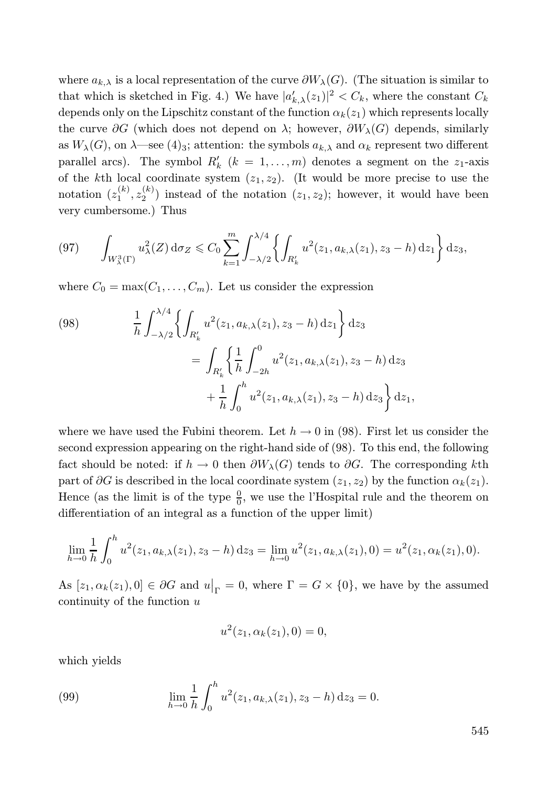where  $a_{k,\lambda}$  is a local representation of the curve  $\partial W_{\lambda}(G)$ . (The situation is similar to that which is sketched in Fig. 4.) We have  $|a'_{k,\lambda}(z_1)|^2 < C_k$ , where the constant  $C_k$ depends only on the Lipschitz constant of the function  $\alpha_k(z_1)$  which represents locally the curve  $\partial G$  (which does not depend on  $\lambda$ ; however,  $\partial W_{\lambda}(G)$  depends, similarly as  $W_\lambda(G)$ , on  $\lambda$ —see  $(4)_3$ ; attention: the symbols  $a_{k,\lambda}$  and  $\alpha_k$  represent two different parallel arcs). The symbol  $R'_k$   $(k = 1, ..., m)$  denotes a segment on the  $z_1$ -axis of the kth local coordinate system  $(z_1, z_2)$ . (It would be more precise to use the notation  $(z_1^{(k)}, z_2^{(k)})$  instead of the notation  $(z_1, z_2)$ ; however, it would have been very cumbersome.) Thus

$$
(97) \qquad \int_{W_{\lambda}^3(\Gamma)} u_{\lambda}^2(Z) \, \mathrm{d}\sigma_Z \leqslant C_0 \sum_{k=1}^m \int_{-\lambda/2}^{\lambda/4} \left\{ \int_{R'_k} u^2(z_1, a_{k,\lambda}(z_1), z_3 - h) \, \mathrm{d}z_1 \right\} \, \mathrm{d}z_3,
$$

where  $C_0 = \max(C_1, \ldots, C_m)$ . Let us consider the expression

(98) 
$$
\frac{1}{h} \int_{-\lambda/2}^{\lambda/4} \left\{ \int_{R'_k} u^2(z_1, a_{k,\lambda}(z_1), z_3 - h) dz_1 \right\} dz_3
$$

$$
= \int_{R'_k} \left\{ \frac{1}{h} \int_{-2h}^0 u^2(z_1, a_{k,\lambda}(z_1), z_3 - h) dz_3 \right\}
$$

$$
+ \frac{1}{h} \int_0^h u^2(z_1, a_{k,\lambda}(z_1), z_3 - h) dz_3 \right\} dz_1,
$$

where we have used the Fubini theorem. Let  $h \to 0$  in (98). First let us consider the second expression appearing on the right-hand side of (98). To this end, the following fact should be noted: if  $h \to 0$  then  $\partial W_\lambda(G)$  tends to  $\partial G$ . The corresponding kth part of  $\partial G$  is described in the local coordinate system  $(z_1, z_2)$  by the function  $\alpha_k(z_1)$ . Hence (as the limit is of the type  $\frac{0}{0}$ , we use the l'Hospital rule and the theorem on differentiation of an integral as a function of the upper limit)

$$
\lim_{h \to 0} \frac{1}{h} \int_0^h u^2(z_1, a_{k,\lambda}(z_1), z_3 - h) dz_3 = \lim_{h \to 0} u^2(z_1, a_{k,\lambda}(z_1), 0) = u^2(z_1, \alpha_k(z_1), 0).
$$

As  $[z_1, \alpha_k(z_1), 0] \in \partial G$  and  $u|_{\Gamma} = 0$ , where  $\Gamma = G \times \{0\}$ , we have by the assumed continuity of the function  $u$ 

$$
u^{2}(z_{1}, \alpha_{k}(z_{1}), 0) = 0,
$$

which yields

(99) 
$$
\lim_{h \to 0} \frac{1}{h} \int_0^h u^2(z_1, a_{k,\lambda}(z_1), z_3 - h) dz_3 = 0.
$$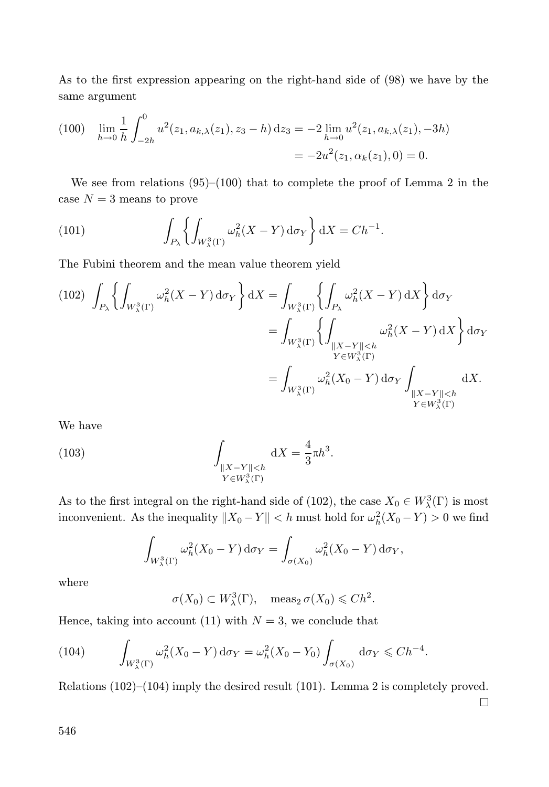As to the first expression appearing on the right-hand side of (98) we have by the same argument

$$
(100) \quad \lim_{h \to 0} \frac{1}{h} \int_{-2h}^{0} u^2(z_1, a_{k,\lambda}(z_1), z_3 - h) \, dz_3 = -2 \lim_{h \to 0} u^2(z_1, a_{k,\lambda}(z_1), -3h) = -2u^2(z_1, \alpha_k(z_1), 0) = 0.
$$

We see from relations  $(95)$ – $(100)$  that to complete the proof of Lemma 2 in the case  $N = 3$  means to prove

(101) 
$$
\int_{P_{\lambda}} \left\{ \int_{W_{\lambda}^3(\Gamma)} \omega_h^2(X - Y) d\sigma_Y \right\} dX = Ch^{-1}.
$$

The Fubini theorem and the mean value theorem yield

(102) 
$$
\int_{P_{\lambda}} \left\{ \int_{W_{\lambda}^3(\Gamma)} \omega_h^2(X - Y) d\sigma_Y \right\} dX = \int_{W_{\lambda}^3(\Gamma)} \left\{ \int_{P_{\lambda}} \omega_h^2(X - Y) dX \right\} d\sigma_Y
$$

$$
= \int_{W_{\lambda}^3(\Gamma)} \left\{ \int_{\substack{\|X - Y\| < h \\ Y \in W_{\lambda}^3(\Gamma)}} \omega_h^2(X - Y) dX \right\} d\sigma_Y
$$

$$
= \int_{W_{\lambda}^3(\Gamma)} \omega_h^2(X_0 - Y) d\sigma_Y \int_{\substack{\|X - Y\| < h \\ Y \in W_{\lambda}^3(\Gamma)}} dX.
$$

We have

(103) 
$$
\int_{\substack{\|X-Y\|
$$

As to the first integral on the right-hand side of (102), the case  $X_0 \in W^3_\lambda(\Gamma)$  is most inconvenient. As the inequality  $||X_0 - Y|| < h$  must hold for  $\omega_h^2(X_0 - Y) > 0$  we find

$$
\int_{W_{\lambda}^3(\Gamma)} \omega_h^2(X_0 - Y) d\sigma_Y = \int_{\sigma(X_0)} \omega_h^2(X_0 - Y) d\sigma_Y,
$$

where

$$
\sigma(X_0) \subset W^3_{\lambda}(\Gamma), \quad \text{meas}_2 \,\sigma(X_0) \leqslant Ch^2.
$$

Hence, taking into account (11) with  $N = 3$ , we conclude that

(104) 
$$
\int_{W_{\lambda}^3(\Gamma)} \omega_h^2(X_0 - Y) d\sigma_Y = \omega_h^2(X_0 - Y_0) \int_{\sigma(X_0)} d\sigma_Y \leq C h^{-4}
$$

Relations (102)–(104) imply the desired result (101). Lemma 2 is completely proved.  $\Box$ 

.